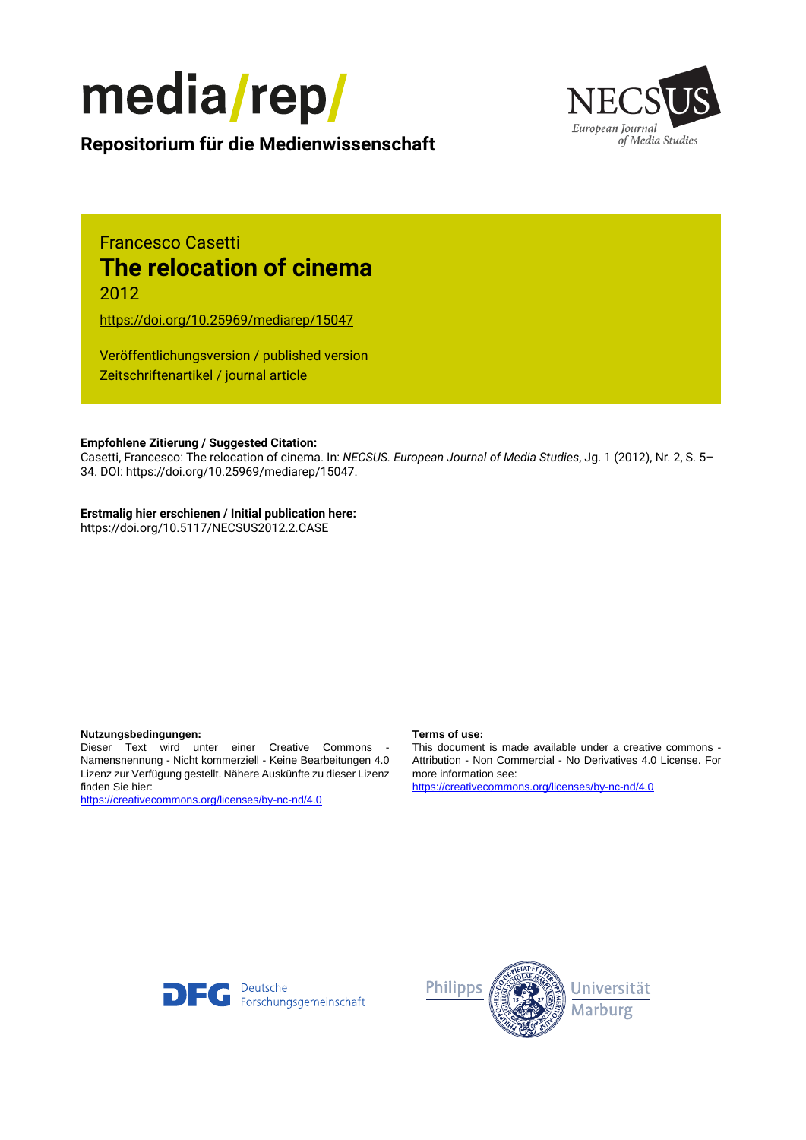



**Repositorium für die [Medienwissenschaft](https://mediarep.org)**

# Francesco Casetti **The relocation of cinema** 2012

<https://doi.org/10.25969/mediarep/15047>

Veröffentlichungsversion / published version Zeitschriftenartikel / journal article

#### **Empfohlene Zitierung / Suggested Citation:**

Casetti, Francesco: The relocation of cinema. In: *NECSUS. European Journal of Media Studies*, Jg. 1 (2012), Nr. 2, S. 5– 34. DOI: https://doi.org/10.25969/mediarep/15047.

#### **Erstmalig hier erschienen / Initial publication here:**

https://doi.org/10.5117/NECSUS2012.2.CASE

#### **Nutzungsbedingungen: Terms of use:**

Dieser Text wird unter einer Creative Commons - Namensnennung - Nicht kommerziell - Keine Bearbeitungen 4.0 Lizenz zur Verfügung gestellt. Nähere Auskünfte zu dieser Lizenz finden Sie hier:

<https://creativecommons.org/licenses/by-nc-nd/4.0>

This document is made available under a creative commons - Attribution - Non Commercial - No Derivatives 4.0 License. For more information see:

<https://creativecommons.org/licenses/by-nc-nd/4.0>



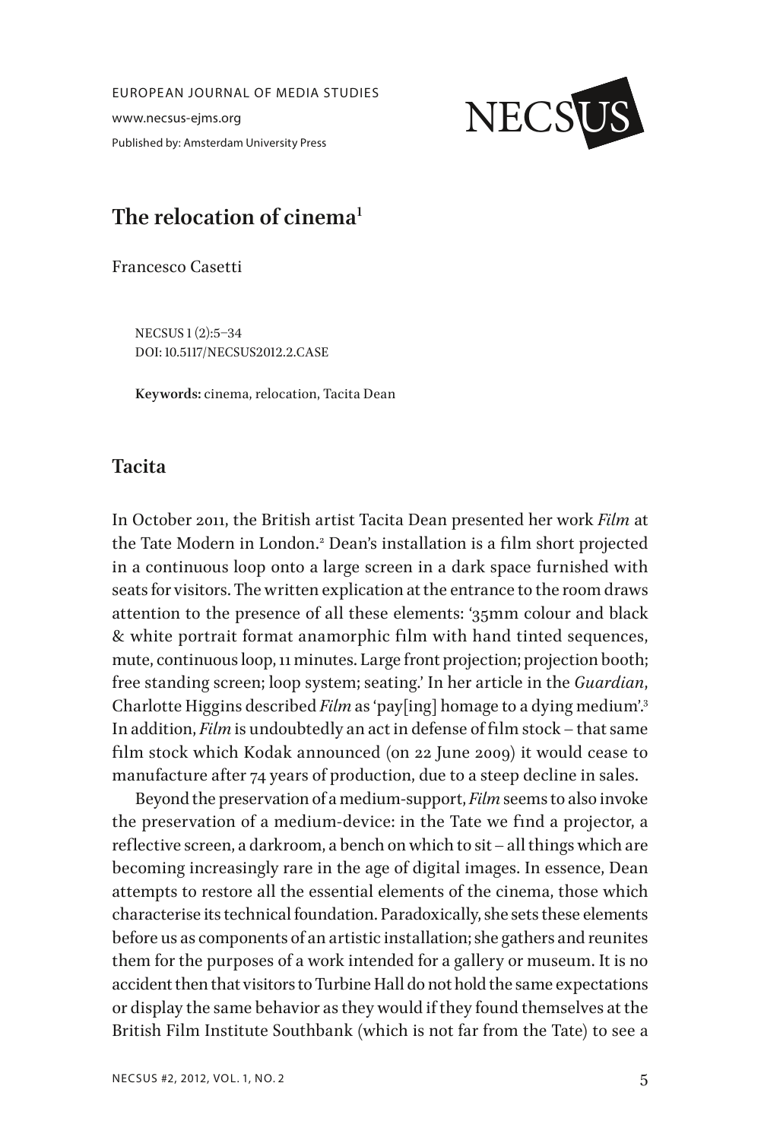EUROPEAN JOURNAL OF MEDIA STUDIES www.necsus-ejms.org Published by: Amsterdam University Press



# **The relocation of cinema1**

Francesco Casetti

NECSUS 1 (2):5–34 DOI: 10.5117/NECSUS2012.2.CASE

**Keywords:** cinema, relocation, Tacita Dean

### **Tacita**

In October 2011, the British artist Tacita Dean presented her work *Film* at the Tate Modern in London.<sup>2</sup> Dean's installation is a film short projected in a continuous loop onto a large screen in a dark space furnished with seats for visitors. The written explication at the entrance to the room draws attention to the presence of all these elements: '35mm colour and black & white portrait format anamorphic film with hand tinted sequences, mute, continuous loop, 11 minutes. Large front projection; projection booth; free standing screen; loop system; seating.' In her article in the *Guardian*, Charlotte Higgins described *Film* as 'pay[ing] homage to a dying medium'.3 In addition, *Film* is undoubtedly an act in defense of film stock – that same film stock which Kodak announced (on 22 June 2009) it would cease to manufacture after 74 years of production, due to a steep decline in sales.

Beyond the preservation of a medium-support, *Film* seems to also invoke the preservation of a medium-device: in the Tate we find a projector, a reflective screen, a darkroom, a bench on which to sit – all things which are becoming increasingly rare in the age of digital images. In essence, Dean attempts to restore all the essential elements of the cinema, those which characterise its technical foundation. Paradoxically, she sets these elements before us as components of an artistic installation; she gathers and reunites them for the purposes of a work intended for a gallery or museum. It is no accident then that visitors to Turbine Hall do not hold the same expectations or display the same behavior as they would if they found themselves at the British Film Institute Southbank (which is not far from the Tate) to see a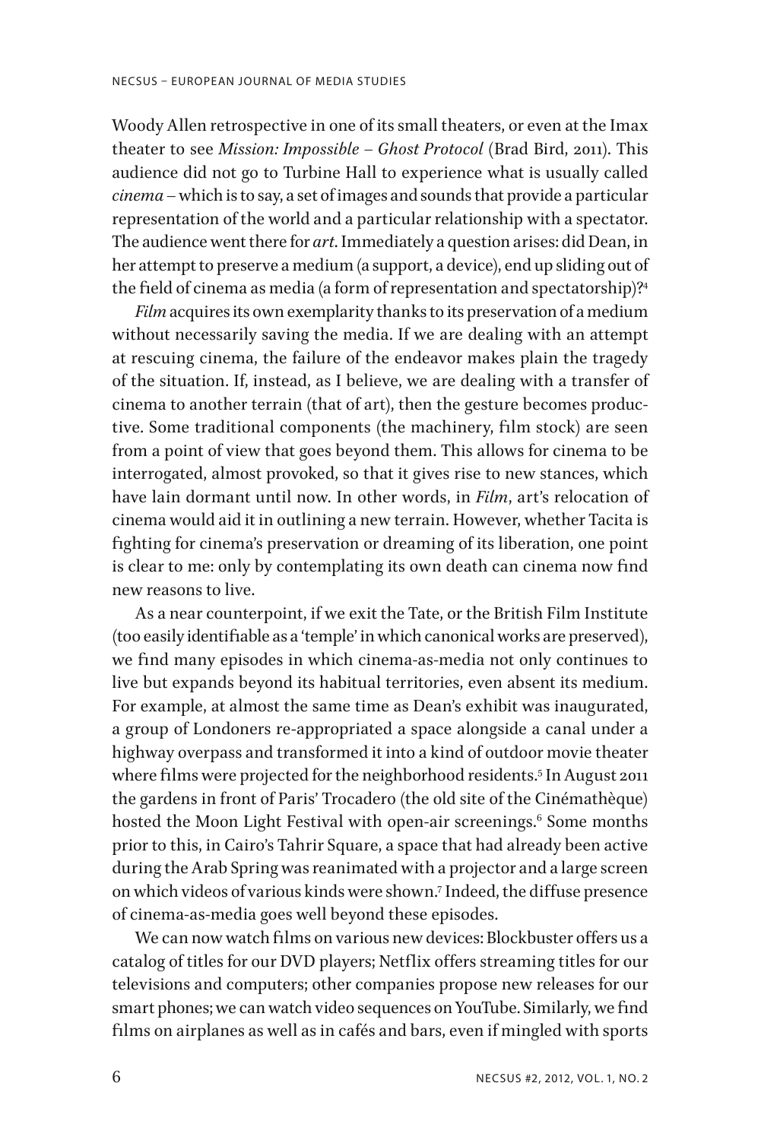Woody Allen retrospective in one of its small theaters, or even at the Imax theater to see *Mission: Impossible – Ghost Protocol* (Brad Bird, 2011). This audience did not go to Turbine Hall to experience what is usually called *cinema* – which is to say, a set of images and sounds that provide a particular representation of the world and a particular relationship with a spectator. The audience went there for *art*. Immediately a question arises: did Dean, in her attempt to preserve a medium (a support, a device), end up sliding out of the field of cinema as media (a form of representation and spectatorship)?<sup>4</sup>

*Film* acquires its own exemplarity thanks to its preservation of a medium without necessarily saving the media. If we are dealing with an attempt at rescuing cinema, the failure of the endeavor makes plain the tragedy of the situation. If, instead, as I believe, we are dealing with a transfer of cinema to another terrain (that of art), then the gesture becomes productive. Some traditional components (the machinery, film stock) are seen from a point of view that goes beyond them. This allows for cinema to be interrogated, almost provoked, so that it gives rise to new stances, which have lain dormant until now. In other words, in *Film*, art's relocation of cinema would aid it in outlining a new terrain. However, whether Tacita is fighting for cinema's preservation or dreaming of its liberation, one point is clear to me: only by contemplating its own death can cinema now find new reasons to live.

As a near counterpoint, if we exit the Tate, or the British Film Institute (too easily identifiable as a 'temple' in which canonical works are preserved), we find many episodes in which cinema-as-media not only continues to live but expands beyond its habitual territories, even absent its medium. For example, at almost the same time as Dean's exhibit was inaugurated, a group of Londoners re-appropriated a space alongside a canal under a highway overpass and transformed it into a kind of outdoor movie theater where films were projected for the neighborhood residents.5 In August 2011 the gardens in front of Paris' Trocadero (the old site of the Cinémathèque) hosted the Moon Light Festival with open-air screenings. $^6$  Some months prior to this, in Cairo's Tahrir Square, a space that had already been active during the Arab Spring was reanimated with a projector and a large screen on which videos of various kinds were shown.7 Indeed, the diffuse presence of cinema-as-media goes well beyond these episodes.

We can now watch films on various new devices: Blockbuster offers us a catalog of titles for our DVD players; Netflix offers streaming titles for our televisions and computers; other companies propose new releases for our smart phones; we can watch video sequences on YouTube. Similarly, we find films on airplanes as well as in cafés and bars, even if mingled with sports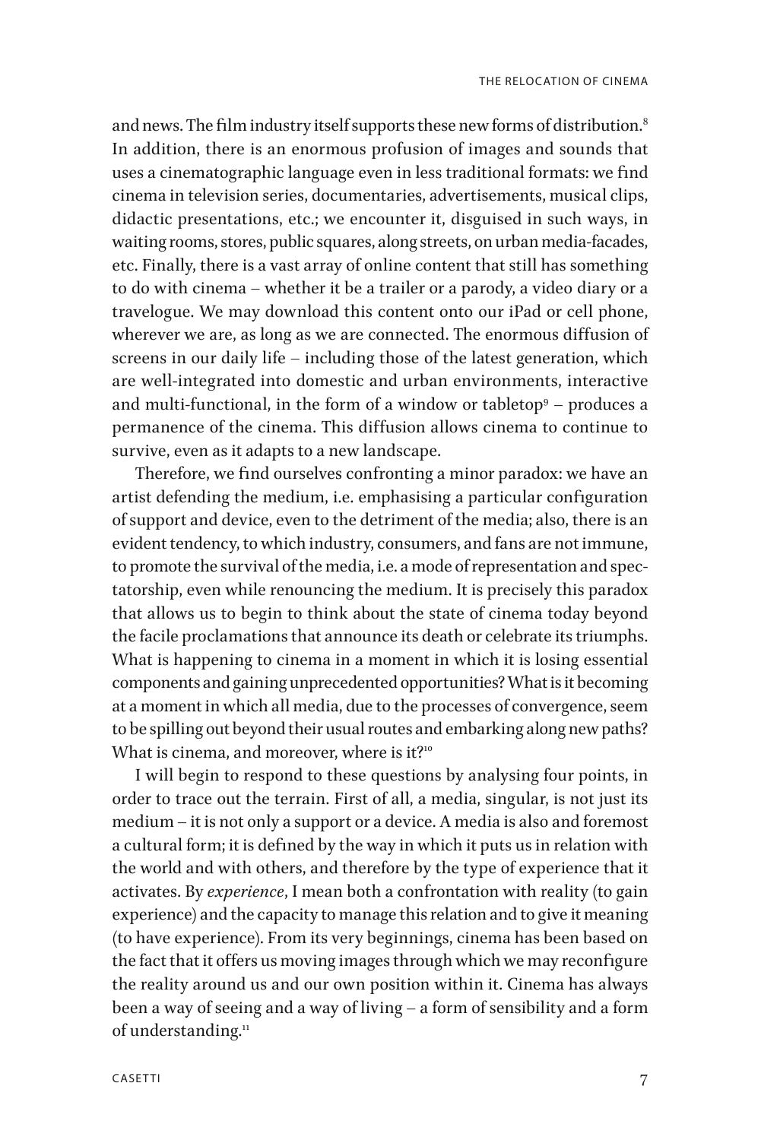and news. The film industry itself supports these new forms of distribution.<sup>8</sup> In addition, there is an enormous profusion of images and sounds that uses a cinematographic language even in less traditional formats: we find cinema in television series, documentaries, advertisements, musical clips, didactic presentations, etc.; we encounter it, disguised in such ways, in waiting rooms, stores, public squares, along streets, on urban media-facades, etc. Finally, there is a vast array of online content that still has something to do with cinema – whether it be a trailer or a parody, a video diary or a travelogue. We may download this content onto our iPad or cell phone, wherever we are, as long as we are connected. The enormous diffusion of screens in our daily life – including those of the latest generation, which are well-integrated into domestic and urban environments, interactive and multi-functional, in the form of a window or tabletop $^9$  – produces a permanence of the cinema. This diffusion allows cinema to continue to survive, even as it adapts to a new landscape.

Therefore, we find ourselves confronting a minor paradox: we have an artist defending the medium, i.e. emphasising a particular configuration of support and device, even to the detriment of the media; also, there is an evident tendency, to which industry, consumers, and fans are not immune, to promote the survival of the media, i.e. a mode of representation and spectatorship, even while renouncing the medium. It is precisely this paradox that allows us to begin to think about the state of cinema today beyond the facile proclamations that announce its death or celebrate its triumphs. What is happening to cinema in a moment in which it is losing essential components and gaining unprecedented opportunities? What is it becoming at a moment in which all media, due to the processes of convergence, seem to be spilling out beyond their usual routes and embarking along new paths? What is cinema, and moreover, where is it?<sup>10</sup>

I will begin to respond to these questions by analysing four points, in order to trace out the terrain. First of all, a media, singular, is not just its medium – it is not only a support or a device. A media is also and foremost a cultural form; it is defined by the way in which it puts us in relation with the world and with others, and therefore by the type of experience that it activates. By *experience*, I mean both a confrontation with reality (to gain experience) and the capacity to manage this relation and to give it meaning (to have experience). From its very beginnings, cinema has been based on the fact that it offers us moving images through which we may reconfigure the reality around us and our own position within it. Cinema has always been a way of seeing and a way of living – a form of sensibility and a form of understanding.<sup>11</sup>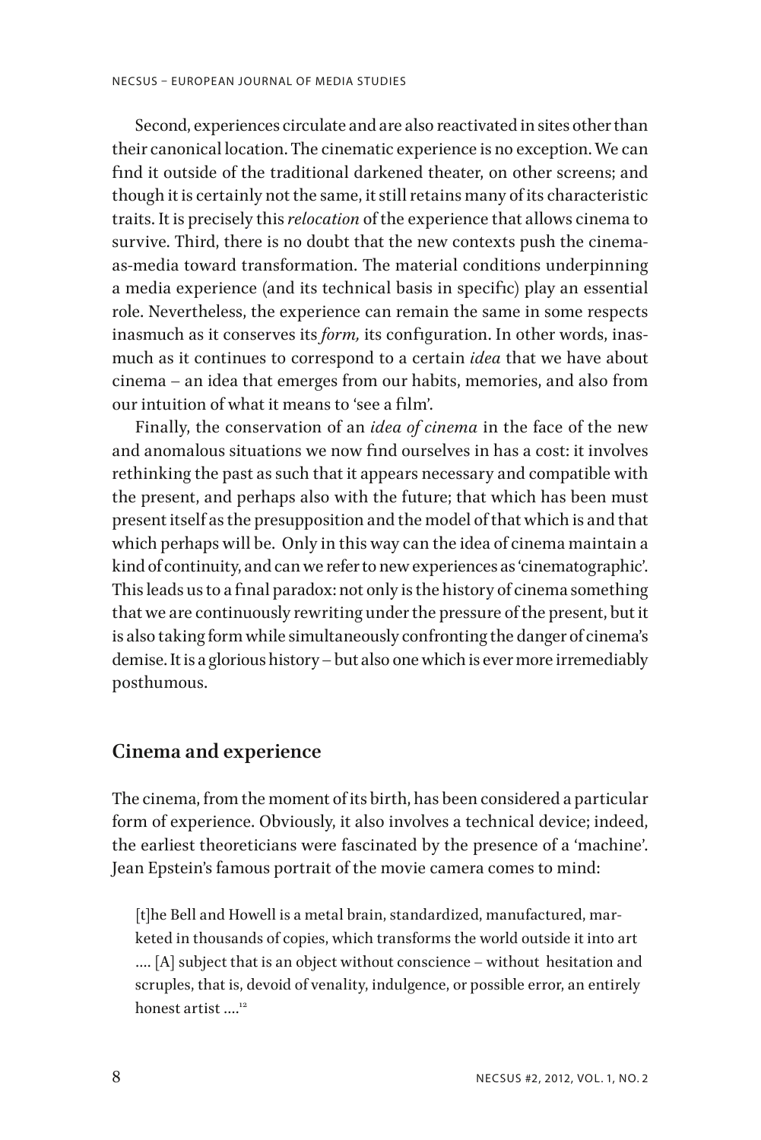Second, experiences circulate and are also reactivated in sites other than their canonical location. The cinematic experience is no exception. We can find it outside of the traditional darkened theater, on other screens; and though it is certainly not the same, it still retains many of its characteristic traits. It is precisely this *relocation* of the experience that allows cinema to survive. Third, there is no doubt that the new contexts push the cinemaas-media toward transformation. The material conditions underpinning a media experience (and its technical basis in specific) play an essential role. Nevertheless, the experience can remain the same in some respects inasmuch as it conserves its *form,* its configuration. In other words, inasmuch as it continues to correspond to a certain *idea* that we have about cinema – an idea that emerges from our habits, memories, and also from our intuition of what it means to 'see a film'.

Finally, the conservation of an *idea of cinema* in the face of the new and anomalous situations we now find ourselves in has a cost: it involves rethinking the past as such that it appears necessary and compatible with the present, and perhaps also with the future; that which has been must present itself as the presupposition and the model of that which is and that which perhaps will be. Only in this way can the idea of cinema maintain a kind of continuity, and can we refer to new experiences as 'cinematographic'. This leads us to a final paradox: not only is the history of cinema something that we are continuously rewriting under the pressure of the present, but it is also taking form while simultaneously confronting the danger of cinema's demise. It is a glorious history – but also one which is ever more irremediably posthumous.

#### **Cinema and experience**

The cinema, from the moment of its birth, has been considered a particular form of experience. Obviously, it also involves a technical device; indeed, the earliest theoreticians were fascinated by the presence of a 'machine'. Jean Epstein's famous portrait of the movie camera comes to mind:

[t]he Bell and Howell is a metal brain, standardized, manufactured, marketed in thousands of copies, which transforms the world outside it into art …. [A] subject that is an object without conscience – without hesitation and scruples, that is, devoid of venality, indulgence, or possible error, an entirely honest artist ....<sup>12</sup>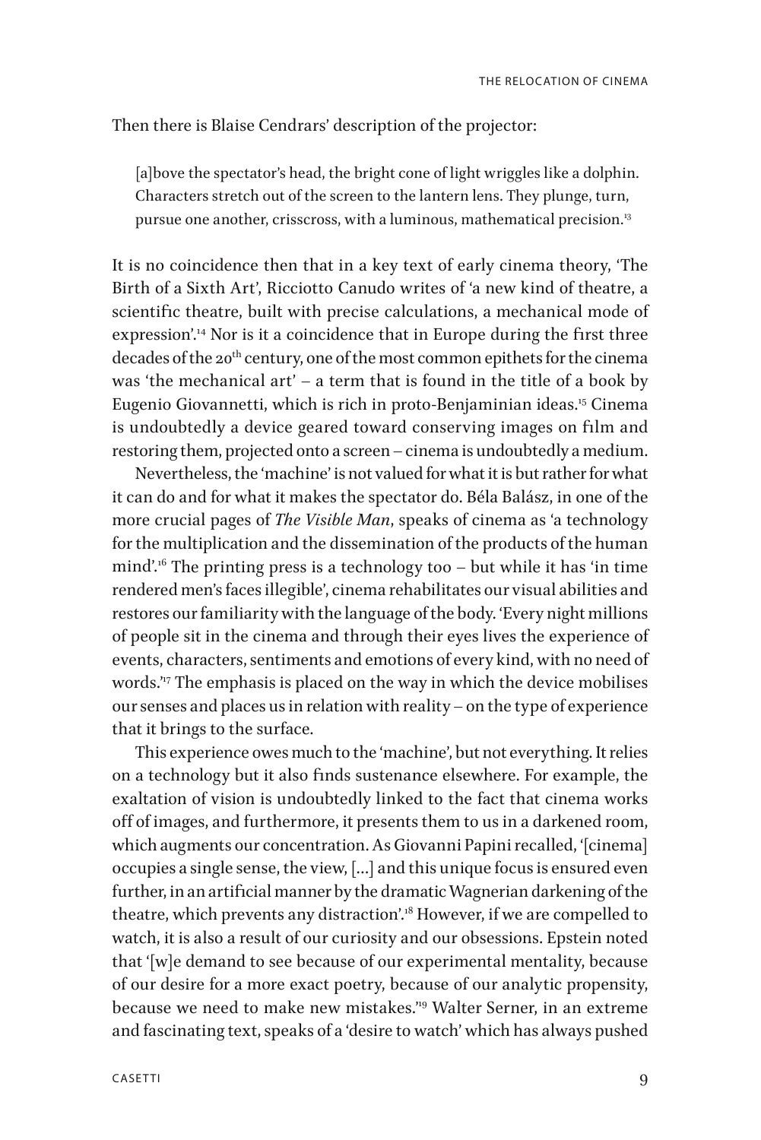#### Then there is Blaise Cendrars' description of the projector:

[a]bove the spectator's head, the bright cone of light wriggles like a dolphin. Characters stretch out of the screen to the lantern lens. They plunge, turn, pursue one another, crisscross, with a luminous, mathematical precision.<sup>13</sup>

It is no coincidence then that in a key text of early cinema theory, 'The Birth of a Sixth Art', Ricciotto Canudo writes of 'a new kind of theatre, a scientific theatre, built with precise calculations, a mechanical mode of expression'.<sup>14</sup> Nor is it a coincidence that in Europe during the first three decades of the 20<sup>th</sup> century, one of the most common epithets for the cinema was 'the mechanical art' – a term that is found in the title of a book by Eugenio Giovannetti, which is rich in proto-Benjaminian ideas.15 Cinema is undoubtedly a device geared toward conserving images on film and restoring them, projected onto a screen – cinema is undoubtedly a medium.

Nevertheless, the 'machine' is not valued for what it is but rather for what it can do and for what it makes the spectator do. Béla Balász, in one of the more crucial pages of *The Visible Man*, speaks of cinema as 'a technology for the multiplication and the dissemination of the products of the human mind'.<sup>16</sup> The printing press is a technology too  $-$  but while it has 'in time rendered men's faces illegible', cinema rehabilitates our visual abilities and restores our familiarity with the language of the body. 'Every night millions of people sit in the cinema and through their eyes lives the experience of events, characters, sentiments and emotions of every kind, with no need of words."<sup>7</sup> The emphasis is placed on the way in which the device mobilises our senses and places us in relation with reality – on the type of experience that it brings to the surface.

This experience owes much to the 'machine', but not everything. It relies on a technology but it also finds sustenance elsewhere. For example, the exaltation of vision is undoubtedly linked to the fact that cinema works off of images, and furthermore, it presents them to us in a darkened room, which augments our concentration. As Giovanni Papini recalled, '[cinema] occupies a single sense, the view, […] and this unique focus is ensured even further, in an artificial manner by the dramatic Wagnerian darkening of the theatre, which prevents any distraction'.18 However, if we are compelled to watch, it is also a result of our curiosity and our obsessions. Epstein noted that '[w]e demand to see because of our experimental mentality, because of our desire for a more exact poetry, because of our analytic propensity, because we need to make new mistakes."<sup>9</sup> Walter Serner, in an extreme and fascinating text, speaks of a 'desire to watch' which has always pushed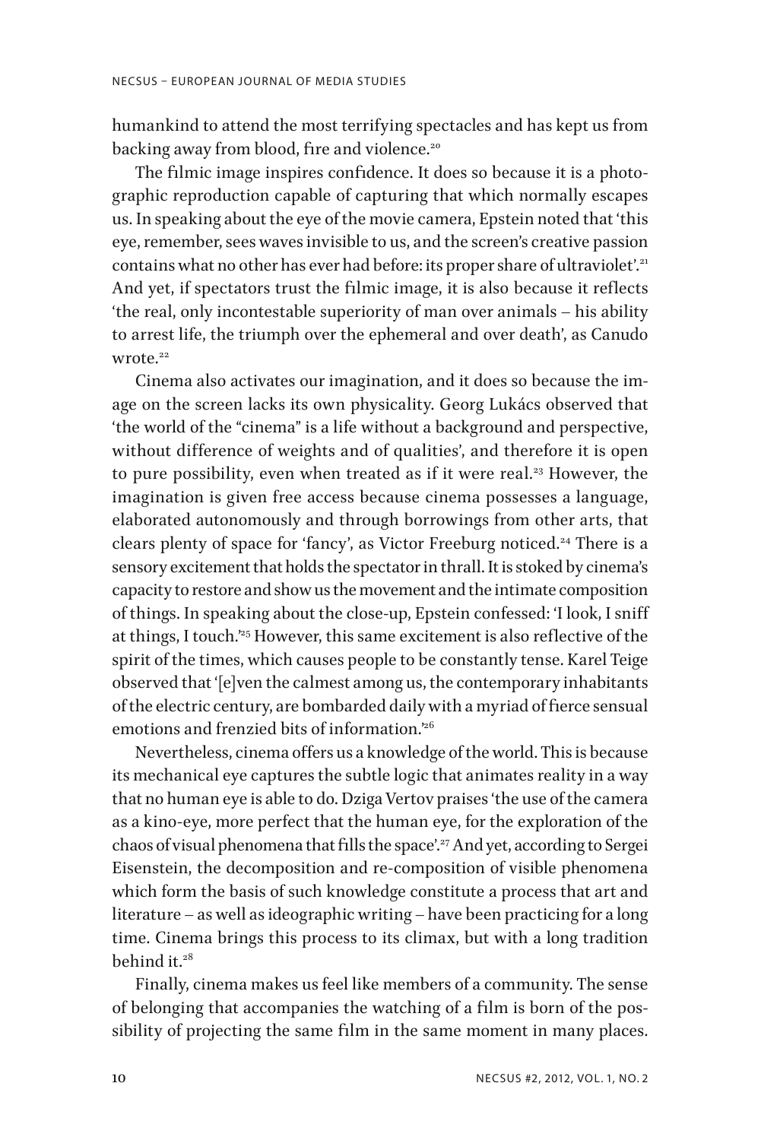humankind to attend the most terrifying spectacles and has kept us from backing away from blood, fire and violence.<sup>20</sup>

The filmic image inspires confidence. It does so because it is a photographic reproduction capable of capturing that which normally escapes us. In speaking about the eye of the movie camera, Epstein noted that 'this eye, remember, sees waves invisible to us, and the screen's creative passion contains what no other has ever had before: its proper share of ultraviolet'.<sup>21</sup> And yet, if spectators trust the filmic image, it is also because it reflects 'the real, only incontestable superiority of man over animals – his ability to arrest life, the triumph over the ephemeral and over death', as Canudo wrote. $22$ 

Cinema also activates our imagination, and it does so because the image on the screen lacks its own physicality. Georg Lukács observed that 'the world of the "cinema" is a life without a background and perspective, without difference of weights and of qualities', and therefore it is open to pure possibility, even when treated as if it were real. $23$  However, the imagination is given free access because cinema possesses a language, elaborated autonomously and through borrowings from other arts, that clears plenty of space for 'fancy', as Victor Freeburg noticed.<sup>24</sup> There is a sensory excitement that holds the spectator in thrall. It is stoked by cinema's capacity to restore and show us the movement and the intimate composition of things. In speaking about the close-up, Epstein confessed: 'I look, I sniff at things, I touch."<sup>25</sup> However, this same excitement is also reflective of the spirit of the times, which causes people to be constantly tense. Karel Teige observed that '[e]ven the calmest among us, the contemporary inhabitants of the electric century, are bombarded daily with a myriad of fierce sensual emotions and frenzied bits of information.'26

Nevertheless, cinema offers us a knowledge of the world. This is because its mechanical eye captures the subtle logic that animates reality in a way that no human eye is able to do. Dziga Vertov praises 'the use of the camera as a kino-eye, more perfect that the human eye, for the exploration of the chaos of visual phenomena that fills the space'.<sup>27</sup> And yet, according to Sergei Eisenstein, the decomposition and re-composition of visible phenomena which form the basis of such knowledge constitute a process that art and literature – as well as ideographic writing – have been practicing for a long time. Cinema brings this process to its climax, but with a long tradition behind it. $28$ 

Finally, cinema makes us feel like members of a community. The sense of belonging that accompanies the watching of a film is born of the possibility of projecting the same film in the same moment in many places.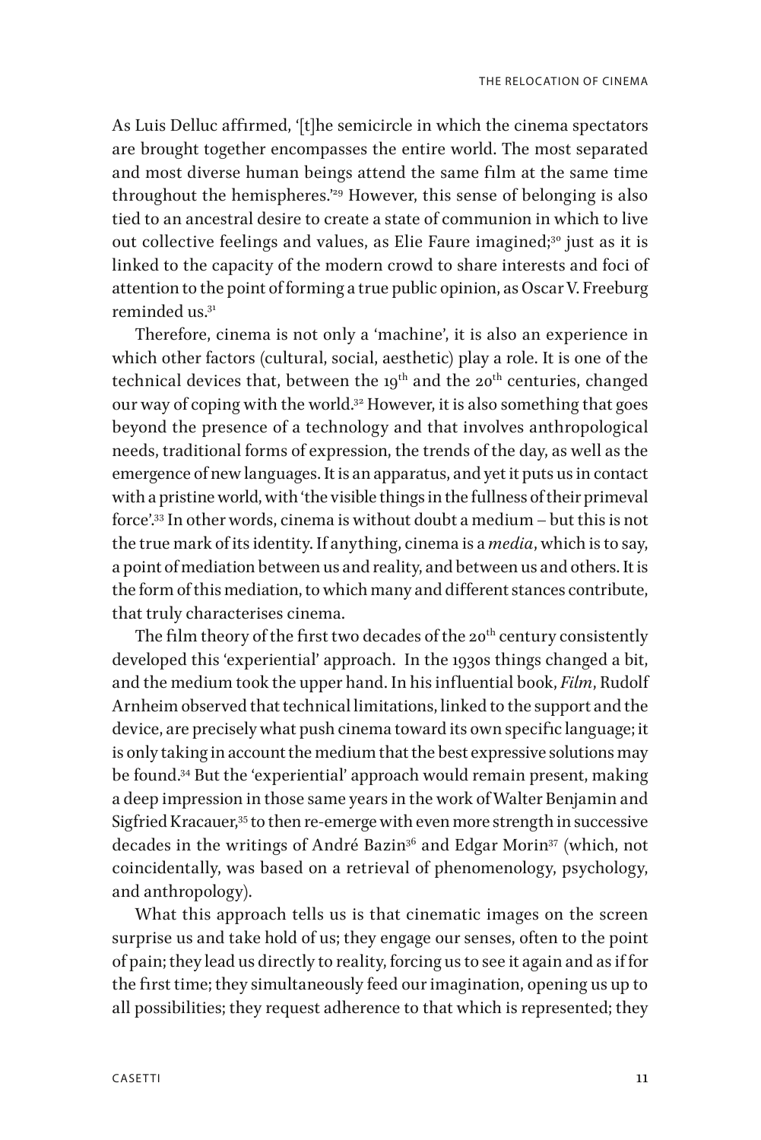As Luis Delluc affirmed, '[t]he semicircle in which the cinema spectators are brought together encompasses the entire world. The most separated and most diverse human beings attend the same film at the same time throughout the hemispheres.'29 However, this sense of belonging is also tied to an ancestral desire to create a state of communion in which to live out collective feelings and values, as Elie Faure imagined;<sup>30</sup> just as it is linked to the capacity of the modern crowd to share interests and foci of attention to the point of forming a true public opinion, as Oscar V. Freeburg reminded us.31

Therefore, cinema is not only a 'machine', it is also an experience in which other factors (cultural, social, aesthetic) play a role. It is one of the technical devices that, between the  $19<sup>th</sup>$  and the  $20<sup>th</sup>$  centuries, changed our way of coping with the world.<sup>32</sup> However, it is also something that goes beyond the presence of a technology and that involves anthropological needs, traditional forms of expression, the trends of the day, as well as the emergence of new languages. It is an apparatus, and yet it puts us in contact with a pristine world, with 'the visible things in the fullness of their primeval force'.33 In other words, cinema is without doubt a medium – but this is not the true mark of its identity. If anything, cinema is a *media*, which is to say, a point of mediation between us and reality, and between us and others. It is the form of this mediation, to which many and different stances contribute, that truly characterises cinema.

The film theory of the first two decades of the  $20^{th}$  century consistently developed this 'experiential' approach. In the 1930s things changed a bit, and the medium took the upper hand. In his influential book, *Film*, Rudolf Arnheim observed that technical limitations, linked to the support and the device, are precisely what push cinema toward its own specific language; it is only taking in account the medium that the best expressive solutions may be found.34 But the 'experiential' approach would remain present, making a deep impression in those same years in the work of Walter Benjamin and Sigfried Kracauer,<sup>35</sup> to then re-emerge with even more strength in successive decades in the writings of André Bazin<sup>36</sup> and Edgar Morin<sup>37</sup> (which, not coincidentally, was based on a retrieval of phenomenology, psychology, and anthropology).

What this approach tells us is that cinematic images on the screen surprise us and take hold of us; they engage our senses, often to the point of pain; they lead us directly to reality, forcing us to see it again and as if for the first time; they simultaneously feed our imagination, opening us up to all possibilities; they request adherence to that which is represented; they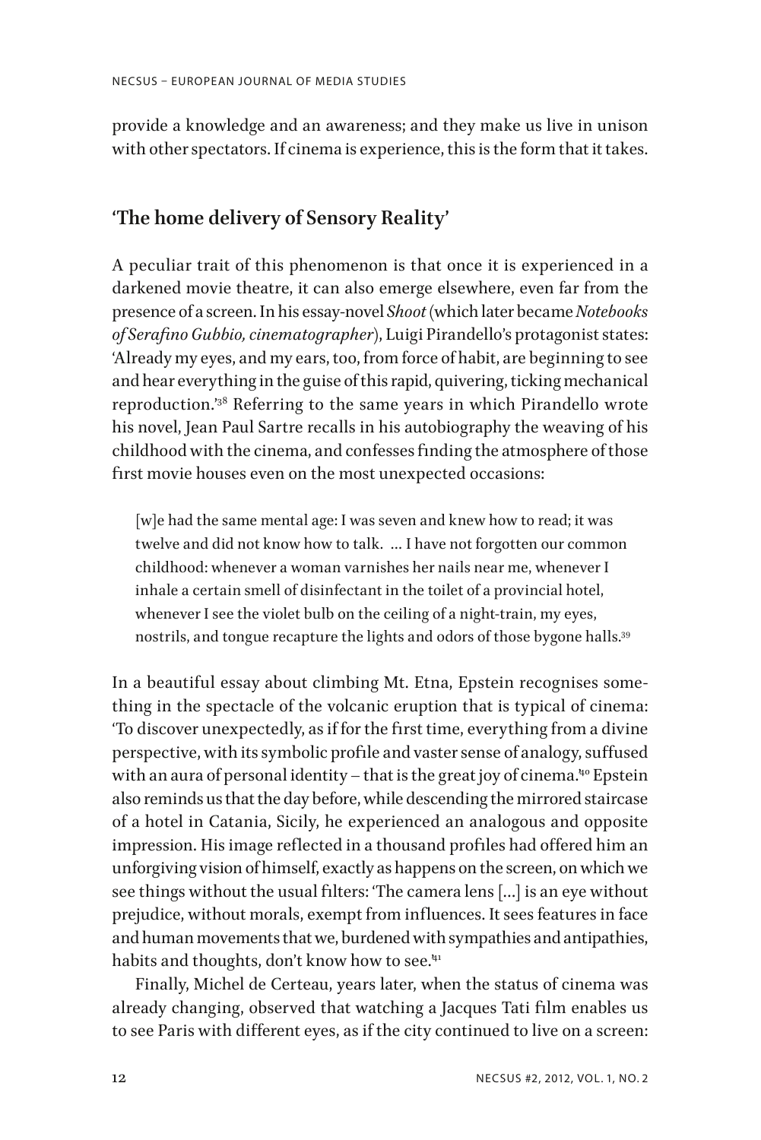provide a knowledge and an awareness; and they make us live in unison with other spectators. If cinema is experience, this is the form that it takes.

## **'The home delivery of Sensory Reality'**

A peculiar trait of this phenomenon is that once it is experienced in a darkened movie theatre, it can also emerge elsewhere, even far from the presence of a screen. In his essay-novel *Shoot* (which later became *Notebooks of Serafino Gubbio, cinematographer*), Luigi Pirandello's protagonist states: 'Already my eyes, and my ears, too, from force of habit, are beginning to see and hear everything in the guise of this rapid, quivering, ticking mechanical reproduction.'38 Referring to the same years in which Pirandello wrote his novel, Jean Paul Sartre recalls in his autobiography the weaving of his childhood with the cinema, and confesses finding the atmosphere of those first movie houses even on the most unexpected occasions:

[w]e had the same mental age: I was seven and knew how to read; it was twelve and did not know how to talk. … I have not forgotten our common childhood: whenever a woman varnishes her nails near me, whenever I inhale a certain smell of disinfectant in the toilet of a provincial hotel, whenever I see the violet bulb on the ceiling of a night-train, my eyes, nostrils, and tongue recapture the lights and odors of those bygone halls.39

In a beautiful essay about climbing Mt. Etna, Epstein recognises something in the spectacle of the volcanic eruption that is typical of cinema: 'To discover unexpectedly, as if for the first time, everything from a divine perspective, with its symbolic profile and vaster sense of analogy, suffused with an aura of personal identity  $-$  that is the great joy of cinema.<sup>40</sup> Epstein also reminds us that the day before, while descending the mirrored staircase of a hotel in Catania, Sicily, he experienced an analogous and opposite impression. His image reflected in a thousand profiles had offered him an unforgiving vision of himself, exactly as happens on the screen, on which we see things without the usual filters: 'The camera lens […] is an eye without prejudice, without morals, exempt from influences. It sees features in face and human movements that we, burdened with sympathies and antipathies, habits and thoughts, don't know how to see.<sup>41</sup>

Finally, Michel de Certeau, years later, when the status of cinema was already changing, observed that watching a Jacques Tati film enables us to see Paris with different eyes, as if the city continued to live on a screen: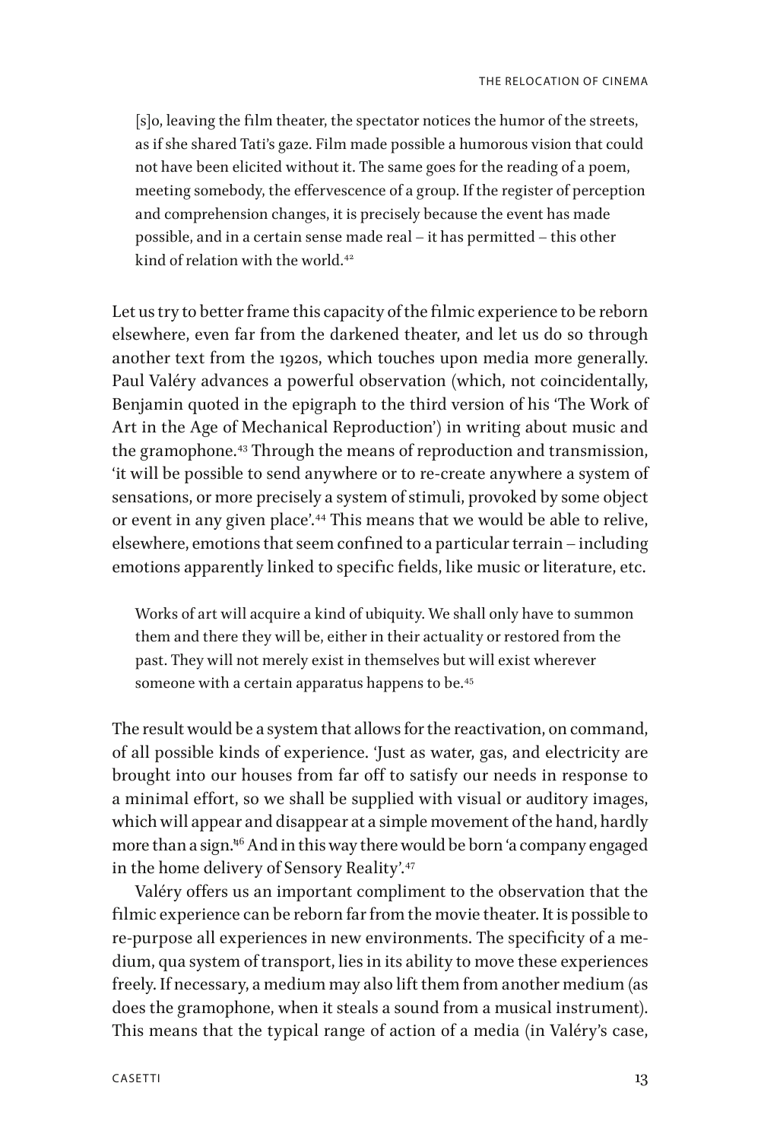[s]o, leaving the film theater, the spectator notices the humor of the streets, as if she shared Tati's gaze. Film made possible a humorous vision that could not have been elicited without it. The same goes for the reading of a poem, meeting somebody, the effervescence of a group. If the register of perception and comprehension changes, it is precisely because the event has made possible, and in a certain sense made real – it has permitted – this other kind of relation with the world.<sup>42</sup>

Let us try to better frame this capacity of the filmic experience to be reborn elsewhere, even far from the darkened theater, and let us do so through another text from the 1920s, which touches upon media more generally. Paul Valéry advances a powerful observation (which, not coincidentally, Benjamin quoted in the epigraph to the third version of his 'The Work of Art in the Age of Mechanical Reproduction') in writing about music and the gramophone.43 Through the means of reproduction and transmission, 'it will be possible to send anywhere or to re-create anywhere a system of sensations, or more precisely a system of stimuli, provoked by some object or event in any given place'.44 This means that we would be able to relive, elsewhere, emotions that seem confined to a particular terrain – including emotions apparently linked to specific fields, like music or literature, etc.

Works of art will acquire a kind of ubiquity. We shall only have to summon them and there they will be, either in their actuality or restored from the past. They will not merely exist in themselves but will exist wherever someone with a certain apparatus happens to be.<sup>45</sup>

The result would be a system that allows for the reactivation, on command, of all possible kinds of experience. 'Just as water, gas, and electricity are brought into our houses from far off to satisfy our needs in response to a minimal effort, so we shall be supplied with visual or auditory images, which will appear and disappear at a simple movement of the hand, hardly more than a sign.<sup>46</sup> And in this way there would be born 'a company engaged in the home delivery of Sensory Reality'.<sup>47</sup>

Valéry offers us an important compliment to the observation that the filmic experience can be reborn far from the movie theater. It is possible to re-purpose all experiences in new environments. The specificity of a medium, qua system of transport, lies in its ability to move these experiences freely. If necessary, a medium may also lift them from another medium (as does the gramophone, when it steals a sound from a musical instrument). This means that the typical range of action of a media (in Valéry's case,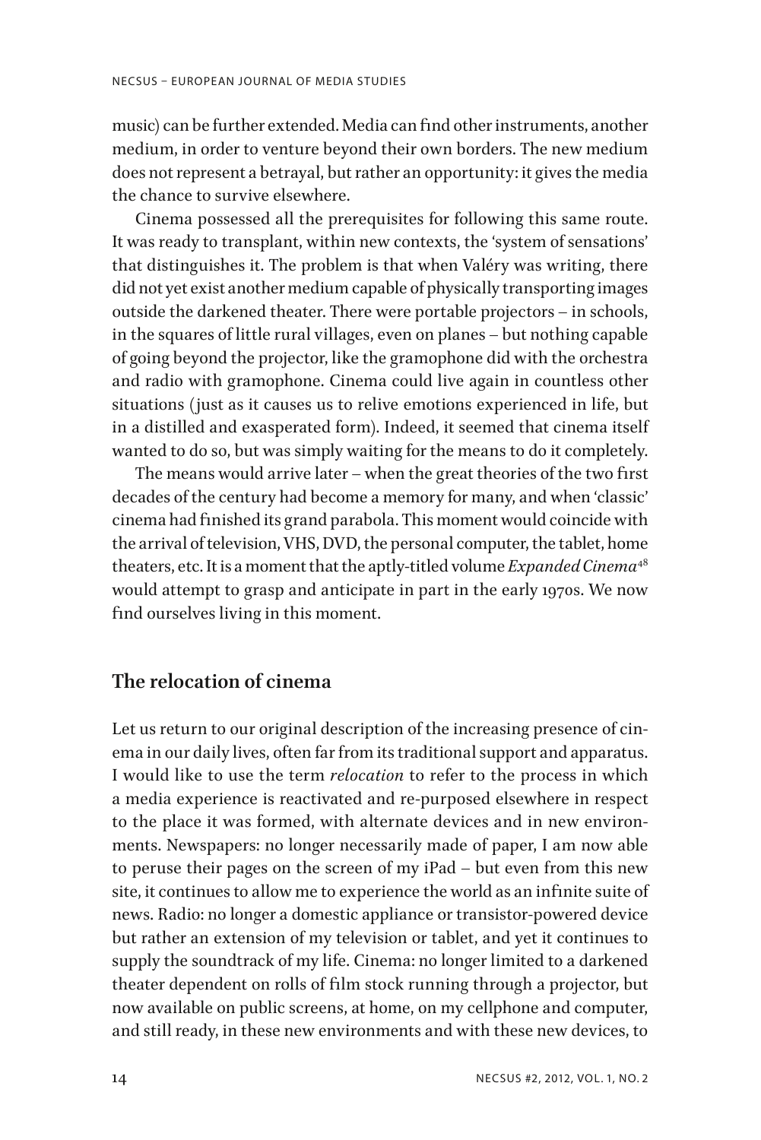music) can be further extended. Media can find other instruments, another medium, in order to venture beyond their own borders. The new medium does not represent a betrayal, but rather an opportunity: it gives the media the chance to survive elsewhere.

Cinema possessed all the prerequisites for following this same route. It was ready to transplant, within new contexts, the 'system of sensations' that distinguishes it. The problem is that when Valéry was writing, there did not yet exist another medium capable of physically transporting images outside the darkened theater. There were portable projectors – in schools, in the squares of little rural villages, even on planes – but nothing capable of going beyond the projector, like the gramophone did with the orchestra and radio with gramophone. Cinema could live again in countless other situations (just as it causes us to relive emotions experienced in life, but in a distilled and exasperated form). Indeed, it seemed that cinema itself wanted to do so, but was simply waiting for the means to do it completely.

The means would arrive later – when the great theories of the two first decades of the century had become a memory for many, and when 'classic' cinema had finished its grand parabola. This moment would coincide with the arrival of television, VHS, DVD, the personal computer, the tablet, home theaters, etc. It is a moment that the aptly-titled volume *Expanded Cinema*<sup>48</sup> would attempt to grasp and anticipate in part in the early 1970s. We now find ourselves living in this moment.

#### **The relocation of cinema**

Let us return to our original description of the increasing presence of cinema in our daily lives, often far from its traditional support and apparatus. I would like to use the term *relocation* to refer to the process in which a media experience is reactivated and re-purposed elsewhere in respect to the place it was formed, with alternate devices and in new environments. Newspapers: no longer necessarily made of paper, I am now able to peruse their pages on the screen of my iPad – but even from this new site, it continues to allow me to experience the world as an infinite suite of news. Radio: no longer a domestic appliance or transistor-powered device but rather an extension of my television or tablet, and yet it continues to supply the soundtrack of my life. Cinema: no longer limited to a darkened theater dependent on rolls of film stock running through a projector, but now available on public screens, at home, on my cellphone and computer, and still ready, in these new environments and with these new devices, to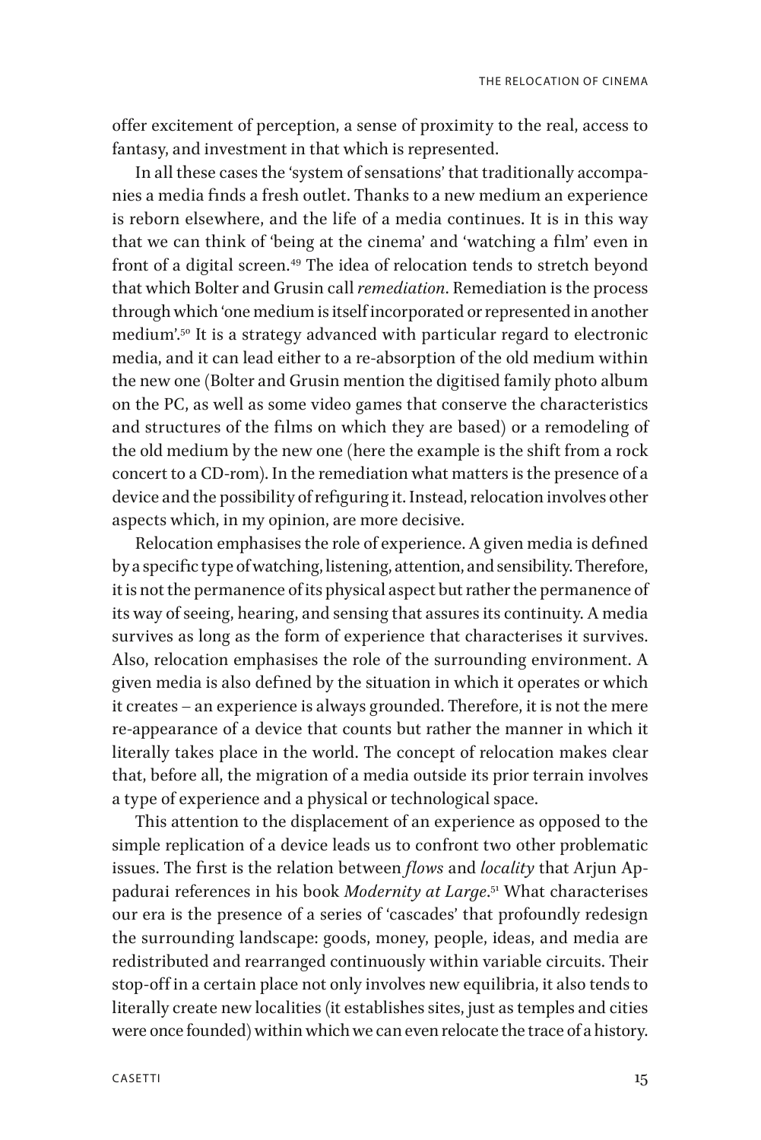offer excitement of perception, a sense of proximity to the real, access to fantasy, and investment in that which is represented.

In all these cases the 'system of sensations' that traditionally accompanies a media finds a fresh outlet. Thanks to a new medium an experience is reborn elsewhere, and the life of a media continues. It is in this way that we can think of 'being at the cinema' and 'watching a film' even in front of a digital screen.<sup>49</sup> The idea of relocation tends to stretch beyond that which Bolter and Grusin call *remediation*. Remediation is the process through which 'one medium is itself incorporated or represented in another medium'.50 It is a strategy advanced with particular regard to electronic media, and it can lead either to a re-absorption of the old medium within the new one (Bolter and Grusin mention the digitised family photo album on the PC, as well as some video games that conserve the characteristics and structures of the films on which they are based) or a remodeling of the old medium by the new one (here the example is the shift from a rock concert to a CD-rom). In the remediation what matters is the presence of a device and the possibility of refiguring it. Instead, relocation involves other aspects which, in my opinion, are more decisive.

Relocation emphasises the role of experience. A given media is defined by a specific type of watching, listening, attention, and sensibility. Therefore, it is not the permanence of its physical aspect but rather the permanence of its way of seeing, hearing, and sensing that assures its continuity. A media survives as long as the form of experience that characterises it survives. Also, relocation emphasises the role of the surrounding environment. A given media is also defined by the situation in which it operates or which it creates – an experience is always grounded. Therefore, it is not the mere re-appearance of a device that counts but rather the manner in which it literally takes place in the world. The concept of relocation makes clear that, before all, the migration of a media outside its prior terrain involves a type of experience and a physical or technological space.

This attention to the displacement of an experience as opposed to the simple replication of a device leads us to confront two other problematic issues. The first is the relation between *flows* and *locality* that Arjun Appadurai references in his book *Modernity at Large*. 51 What characterises our era is the presence of a series of 'cascades' that profoundly redesign the surrounding landscape: goods, money, people, ideas, and media are redistributed and rearranged continuously within variable circuits. Their stop-off in a certain place not only involves new equilibria, it also tends to literally create new localities (it establishes sites, just as temples and cities were once founded) within which we can even relocate the trace of a history.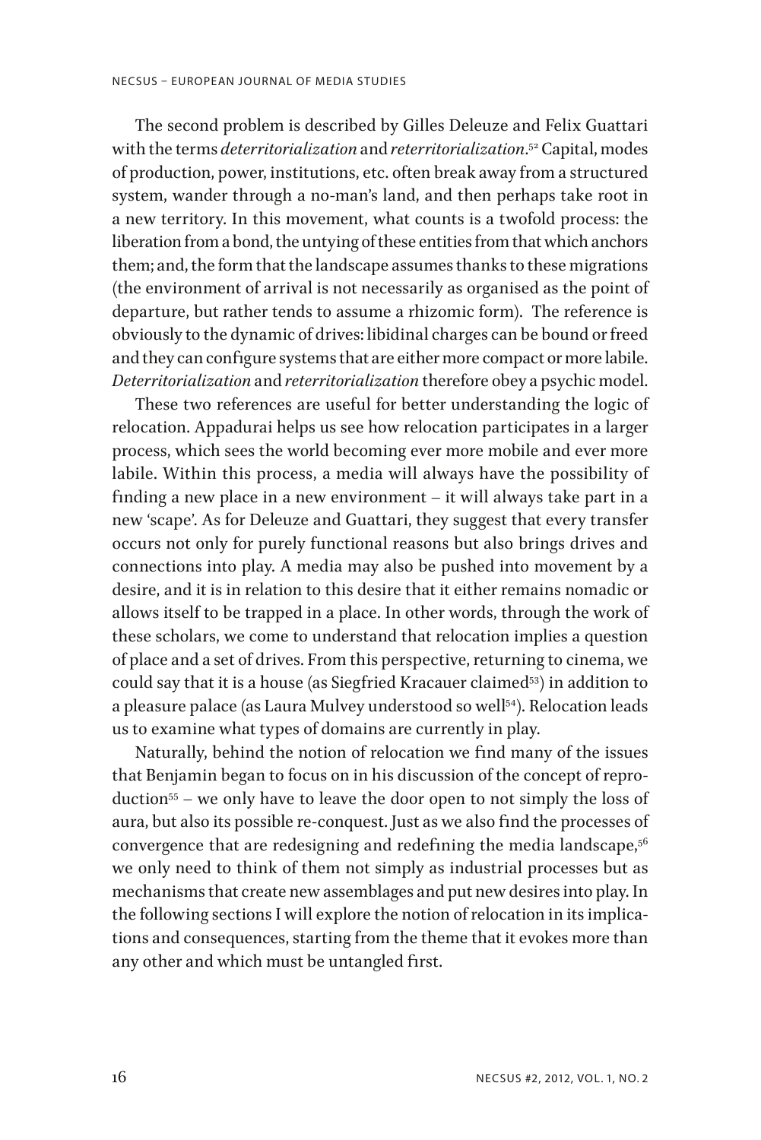The second problem is described by Gilles Deleuze and Felix Guattari with the terms *deterritorialization* and *reterritorialization*. 52 Capital, modes of production, power, institutions, etc. often break away from a structured system, wander through a no-man's land, and then perhaps take root in a new territory. In this movement, what counts is a twofold process: the liberation from a bond, the untying of these entities from that which anchors them; and, the form that the landscape assumes thanks to these migrations (the environment of arrival is not necessarily as organised as the point of departure, but rather tends to assume a rhizomic form). The reference is obviously to the dynamic of drives: libidinal charges can be bound or freed and they can configure systems that are either more compact or more labile. *Deterritorialization* and *reterritorialization* therefore obey a psychic model.

These two references are useful for better understanding the logic of relocation. Appadurai helps us see how relocation participates in a larger process, which sees the world becoming ever more mobile and ever more labile. Within this process, a media will always have the possibility of finding a new place in a new environment – it will always take part in a new 'scape'. As for Deleuze and Guattari, they suggest that every transfer occurs not only for purely functional reasons but also brings drives and connections into play. A media may also be pushed into movement by a desire, and it is in relation to this desire that it either remains nomadic or allows itself to be trapped in a place. In other words, through the work of these scholars, we come to understand that relocation implies a question of place and a set of drives. From this perspective, returning to cinema, we could say that it is a house (as Siegfried Kracauer claimed<sup>53</sup>) in addition to a pleasure palace (as Laura Mulvey understood so well<sup>54</sup>). Relocation leads us to examine what types of domains are currently in play.

Naturally, behind the notion of relocation we find many of the issues that Benjamin began to focus on in his discussion of the concept of reproduction55 – we only have to leave the door open to not simply the loss of aura, but also its possible re-conquest. Just as we also find the processes of convergence that are redesigning and redefining the media landscape,<sup>56</sup> we only need to think of them not simply as industrial processes but as mechanisms that create new assemblages and put new desires into play. In the following sections I will explore the notion of relocation in its implications and consequences, starting from the theme that it evokes more than any other and which must be untangled first.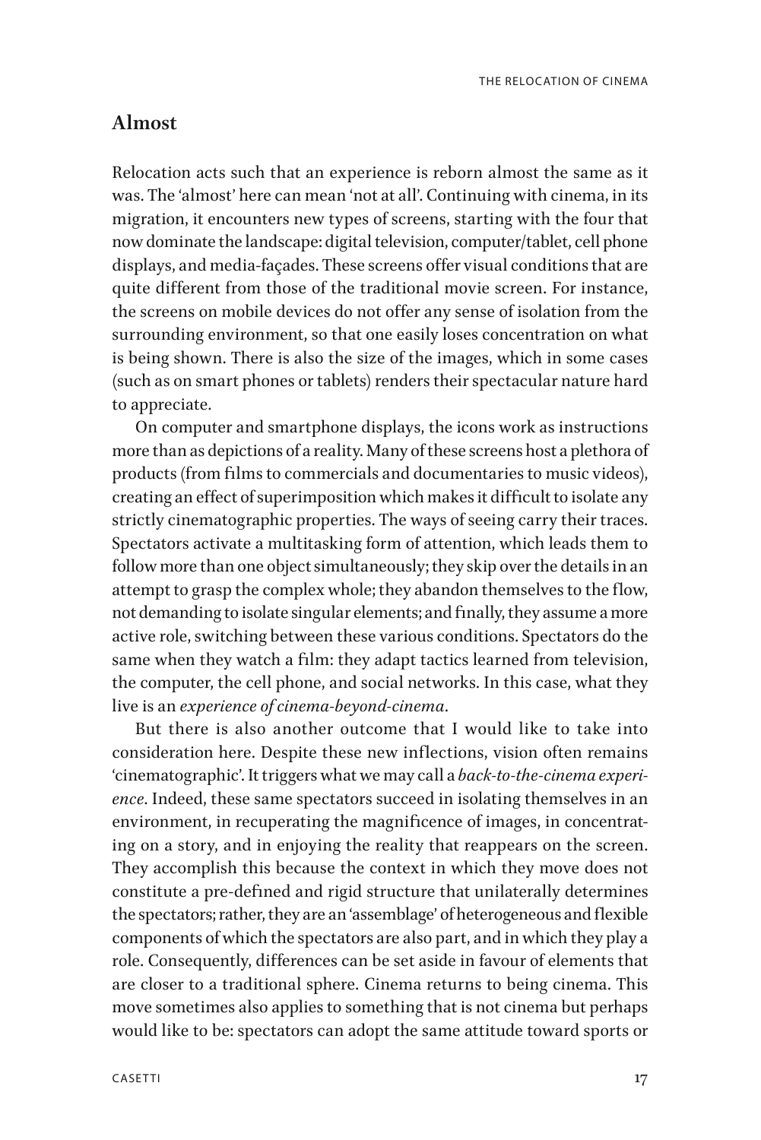### **Almost**

Relocation acts such that an experience is reborn almost the same as it was. The 'almost' here can mean 'not at all'. Continuing with cinema, in its migration, it encounters new types of screens, starting with the four that now dominate the landscape: digital television, computer/tablet, cell phone displays, and media-façades. These screens offer visual conditions that are quite different from those of the traditional movie screen. For instance, the screens on mobile devices do not offer any sense of isolation from the surrounding environment, so that one easily loses concentration on what is being shown. There is also the size of the images, which in some cases (such as on smart phones or tablets) renders their spectacular nature hard to appreciate.

On computer and smartphone displays, the icons work as instructions more than as depictions of a reality. Many of these screens host a plethora of products (from films to commercials and documentaries to music videos), creating an effect of superimposition which makes it difficult to isolate any strictly cinematographic properties. The ways of seeing carry their traces. Spectators activate a multitasking form of attention, which leads them to follow more than one object simultaneously; they skip over the details in an attempt to grasp the complex whole; they abandon themselves to the flow, not demanding to isolate singular elements; and finally, they assume a more active role, switching between these various conditions. Spectators do the same when they watch a film: they adapt tactics learned from television, the computer, the cell phone, and social networks. In this case, what they live is an *experience of cinema-beyond-cinema*.

But there is also another outcome that I would like to take into consideration here. Despite these new inflections, vision often remains 'cinematographic'. It triggers what we may call a *back-to-the-cinema experience*. Indeed, these same spectators succeed in isolating themselves in an environment, in recuperating the magnificence of images, in concentrating on a story, and in enjoying the reality that reappears on the screen. They accomplish this because the context in which they move does not constitute a pre-defined and rigid structure that unilaterally determines the spectators; rather, they are an 'assemblage' of heterogeneous and flexible components of which the spectators are also part, and in which they play a role. Consequently, differences can be set aside in favour of elements that are closer to a traditional sphere. Cinema returns to being cinema. This move sometimes also applies to something that is not cinema but perhaps would like to be: spectators can adopt the same attitude toward sports or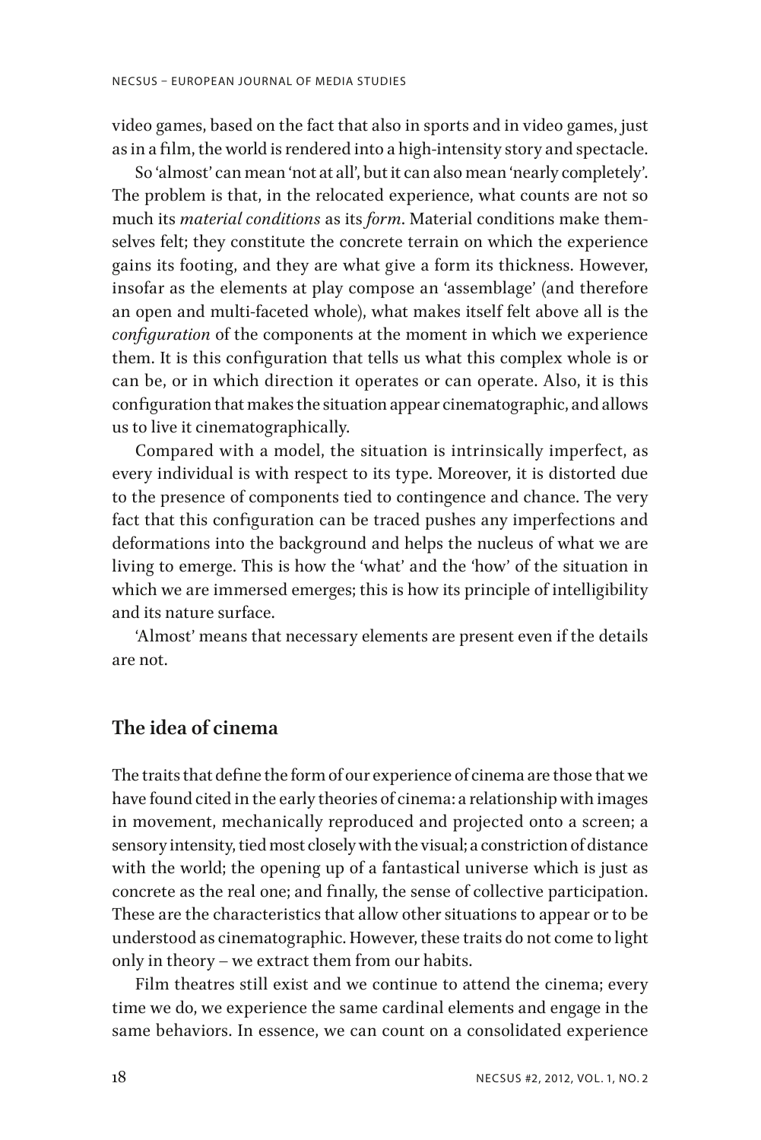video games, based on the fact that also in sports and in video games, just as in a film, the world is rendered into a high-intensity story and spectacle.

So 'almost' can mean 'not at all', but it can also mean 'nearly completely'. The problem is that, in the relocated experience, what counts are not so much its *material conditions* as its *form*. Material conditions make themselves felt; they constitute the concrete terrain on which the experience gains its footing, and they are what give a form its thickness. However, insofar as the elements at play compose an 'assemblage' (and therefore an open and multi-faceted whole), what makes itself felt above all is the *configuration* of the components at the moment in which we experience them. It is this configuration that tells us what this complex whole is or can be, or in which direction it operates or can operate. Also, it is this configuration that makes the situation appear cinematographic, and allows us to live it cinematographically.

Compared with a model, the situation is intrinsically imperfect, as every individual is with respect to its type. Moreover, it is distorted due to the presence of components tied to contingence and chance. The very fact that this configuration can be traced pushes any imperfections and deformations into the background and helps the nucleus of what we are living to emerge. This is how the 'what' and the 'how' of the situation in which we are immersed emerges; this is how its principle of intelligibility and its nature surface.

'Almost' means that necessary elements are present even if the details are not.

## **The idea of cinema**

The traits that define the form of our experience of cinema are those that we have found cited in the early theories of cinema: a relationship with images in movement, mechanically reproduced and projected onto a screen; a sensory intensity, tied most closely with the visual; a constriction of distance with the world; the opening up of a fantastical universe which is just as concrete as the real one; and finally, the sense of collective participation. These are the characteristics that allow other situations to appear or to be understood as cinematographic. However, these traits do not come to light only in theory – we extract them from our habits.

Film theatres still exist and we continue to attend the cinema; every time we do, we experience the same cardinal elements and engage in the same behaviors. In essence, we can count on a consolidated experience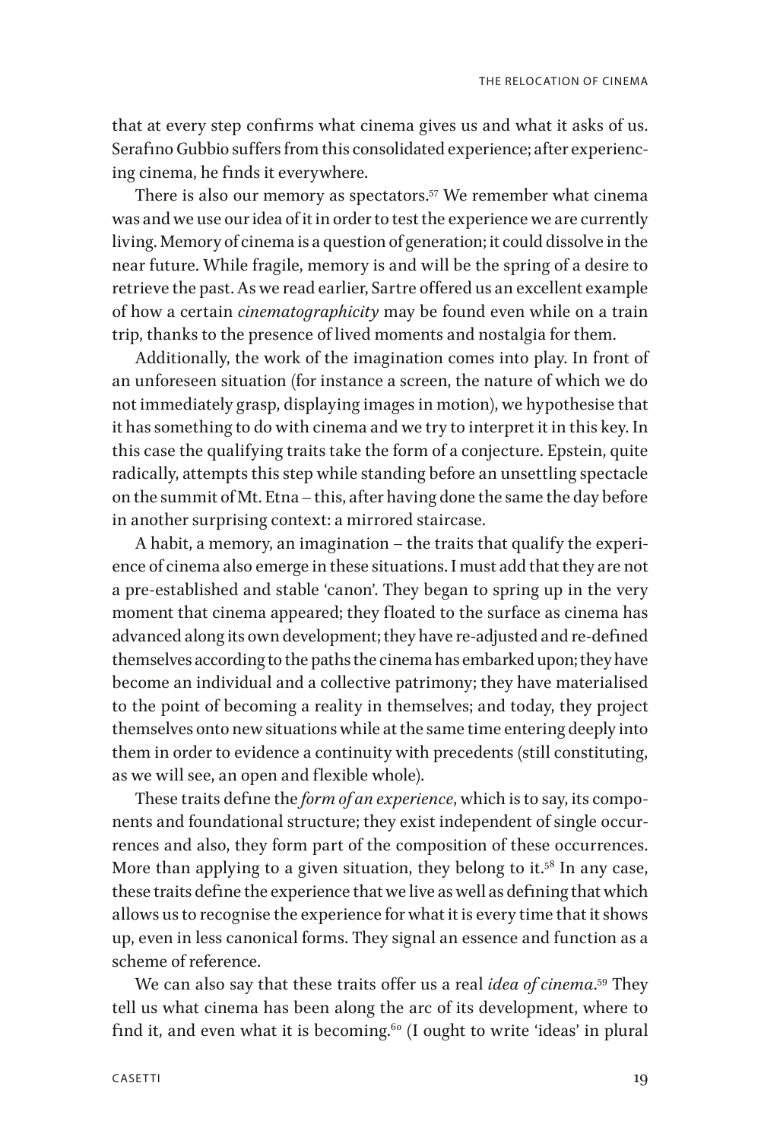that at every step confirms what cinema gives us and what it asks of us. Serafino Gubbio suffers from this consolidated experience; after experiencing cinema, he finds it everywhere.

There is also our memory as spectators.<sup>57</sup> We remember what cinema was and we use our idea of it in order to test the experience we are currently living. Memory of cinema is a question of generation; it could dissolve in the near future. While fragile, memory is and will be the spring of a desire to retrieve the past. As we read earlier, Sartre offered us an excellent example of how a certain *cinematographicity* may be found even while on a train trip, thanks to the presence of lived moments and nostalgia for them.

Additionally, the work of the imagination comes into play. In front of an unforeseen situation (for instance a screen, the nature of which we do not immediately grasp, displaying images in motion), we hypothesise that it has something to do with cinema and we try to interpret it in this key. In this case the qualifying traits take the form of a conjecture. Epstein, quite radically, attempts this step while standing before an unsettling spectacle on the summit of Mt. Etna – this, after having done the same the day before in another surprising context: a mirrored staircase.

A habit, a memory, an imagination – the traits that qualify the experience of cinema also emerge in these situations. I must add that they are not a pre-established and stable 'canon'. They began to spring up in the very moment that cinema appeared; they floated to the surface as cinema has advanced along its own development; they have re-adjusted and re-defined themselves according to the paths the cinema has embarked upon; they have become an individual and a collective patrimony; they have materialised to the point of becoming a reality in themselves; and today, they project themselves onto new situations while at the same time entering deeply into them in order to evidence a continuity with precedents (still constituting, as we will see, an open and flexible whole).

These traits define the *form of an experience*, which is to say, its components and foundational structure; they exist independent of single occurrences and also, they form part of the composition of these occurrences. More than applying to a given situation, they belong to it.<sup>58</sup> In any case, these traits define the experience that we live as well as defining that which allows us to recognise the experience for what it is every time that it shows up, even in less canonical forms. They signal an essence and function as a scheme of reference.

We can also say that these traits offer us a real *idea of cinema*. 59 They tell us what cinema has been along the arc of its development, where to find it, and even what it is becoming.<sup>60</sup> (I ought to write 'ideas' in plural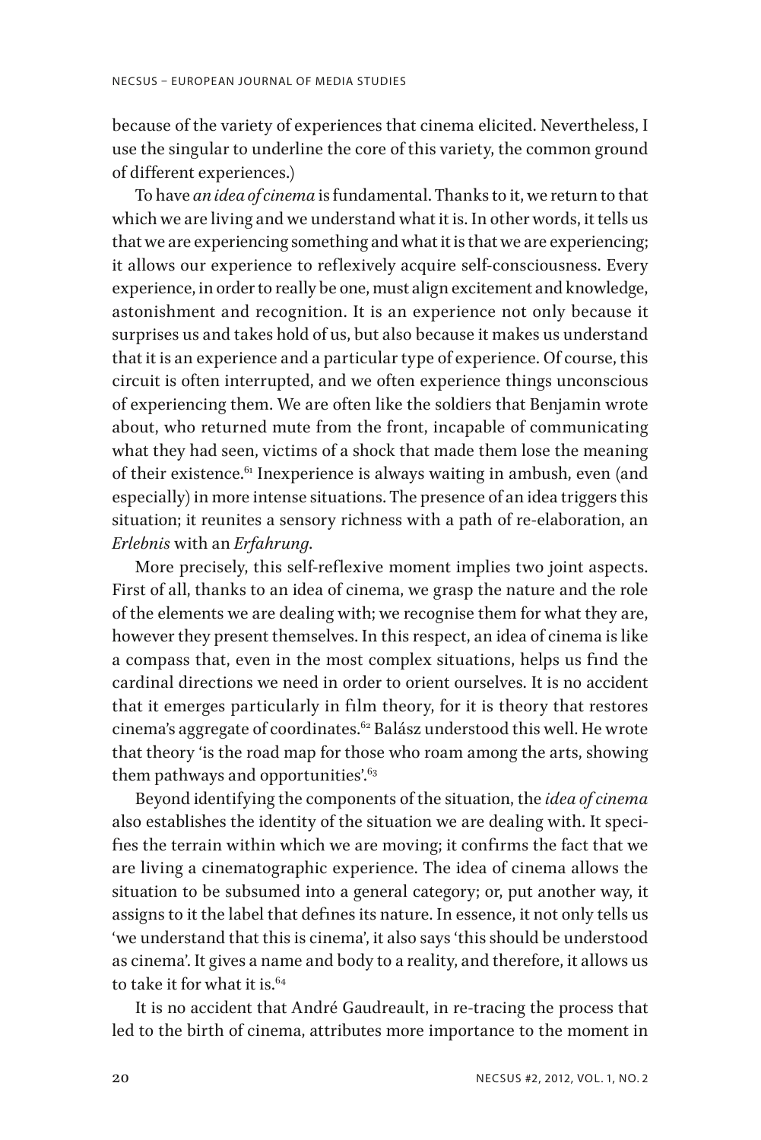because of the variety of experiences that cinema elicited. Nevertheless, I use the singular to underline the core of this variety, the common ground of different experiences.)

To have *an idea of cinema* is fundamental. Thanks to it, we return to that which we are living and we understand what it is. In other words, it tells us that we are experiencing something and what it is that we are experiencing; it allows our experience to reflexively acquire self-consciousness. Every experience, in order to really be one, must align excitement and knowledge, astonishment and recognition. It is an experience not only because it surprises us and takes hold of us, but also because it makes us understand that it is an experience and a particular type of experience. Of course, this circuit is often interrupted, and we often experience things unconscious of experiencing them. We are often like the soldiers that Benjamin wrote about, who returned mute from the front, incapable of communicating what they had seen, victims of a shock that made them lose the meaning of their existence.<sup>61</sup> Inexperience is always waiting in ambush, even (and especially) in more intense situations. The presence of an idea triggers this situation; it reunites a sensory richness with a path of re-elaboration, an *Erlebnis* with an *Erfahrung*.

More precisely, this self-reflexive moment implies two joint aspects. First of all, thanks to an idea of cinema, we grasp the nature and the role of the elements we are dealing with; we recognise them for what they are, however they present themselves. In this respect, an idea of cinema is like a compass that, even in the most complex situations, helps us find the cardinal directions we need in order to orient ourselves. It is no accident that it emerges particularly in film theory, for it is theory that restores cinema's aggregate of coordinates.<sup>62</sup> Balász understood this well. He wrote that theory 'is the road map for those who roam among the arts, showing them pathways and opportunities'. $63$ 

Beyond identifying the components of the situation, the *idea of cinema* also establishes the identity of the situation we are dealing with. It specifies the terrain within which we are moving; it confirms the fact that we are living a cinematographic experience. The idea of cinema allows the situation to be subsumed into a general category; or, put another way, it assigns to it the label that defines its nature. In essence, it not only tells us 'we understand that this is cinema', it also says 'this should be understood as cinema'. It gives a name and body to a reality, and therefore, it allows us to take it for what it is.<sup>64</sup>

It is no accident that André Gaudreault, in re-tracing the process that led to the birth of cinema, attributes more importance to the moment in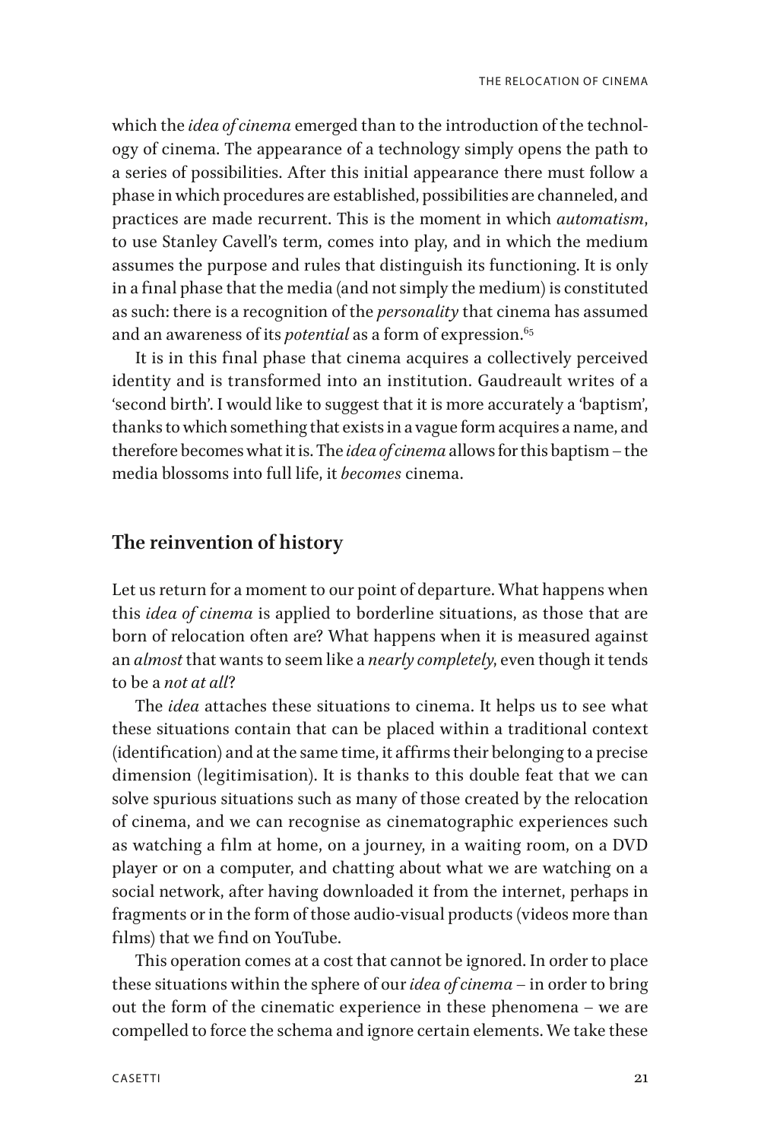which the *idea of cinema* emerged than to the introduction of the technology of cinema. The appearance of a technology simply opens the path to a series of possibilities. After this initial appearance there must follow a phase in which procedures are established, possibilities are channeled, and practices are made recurrent. This is the moment in which *automatism*, to use Stanley Cavell's term, comes into play, and in which the medium assumes the purpose and rules that distinguish its functioning. It is only in a final phase that the media (and not simply the medium) is constituted as such: there is a recognition of the *personality* that cinema has assumed and an awareness of its *potential* as a form of expression.<sup>65</sup>

It is in this final phase that cinema acquires a collectively perceived identity and is transformed into an institution. Gaudreault writes of a 'second birth'. I would like to suggest that it is more accurately a 'baptism', thanks to which something that exists in a vague form acquires a name, and therefore becomes what it is. The *idea of cinema* allows for this baptism – the media blossoms into full life, it *becomes* cinema.

### **The reinvention of history**

Let us return for a moment to our point of departure. What happens when this *idea of cinema* is applied to borderline situations, as those that are born of relocation often are? What happens when it is measured against an *almost* that wants to seem like a *nearly completely*, even though it tends to be a *not at all*?

The *idea* attaches these situations to cinema. It helps us to see what these situations contain that can be placed within a traditional context (identification) and at the same time, it affirms their belonging to a precise dimension (legitimisation). It is thanks to this double feat that we can solve spurious situations such as many of those created by the relocation of cinema, and we can recognise as cinematographic experiences such as watching a film at home, on a journey, in a waiting room, on a DVD player or on a computer, and chatting about what we are watching on a social network, after having downloaded it from the internet, perhaps in fragments or in the form of those audio-visual products (videos more than films) that we find on YouTube.

This operation comes at a cost that cannot be ignored. In order to place these situations within the sphere of our *idea of cinema* – in order to bring out the form of the cinematic experience in these phenomena – we are compelled to force the schema and ignore certain elements. We take these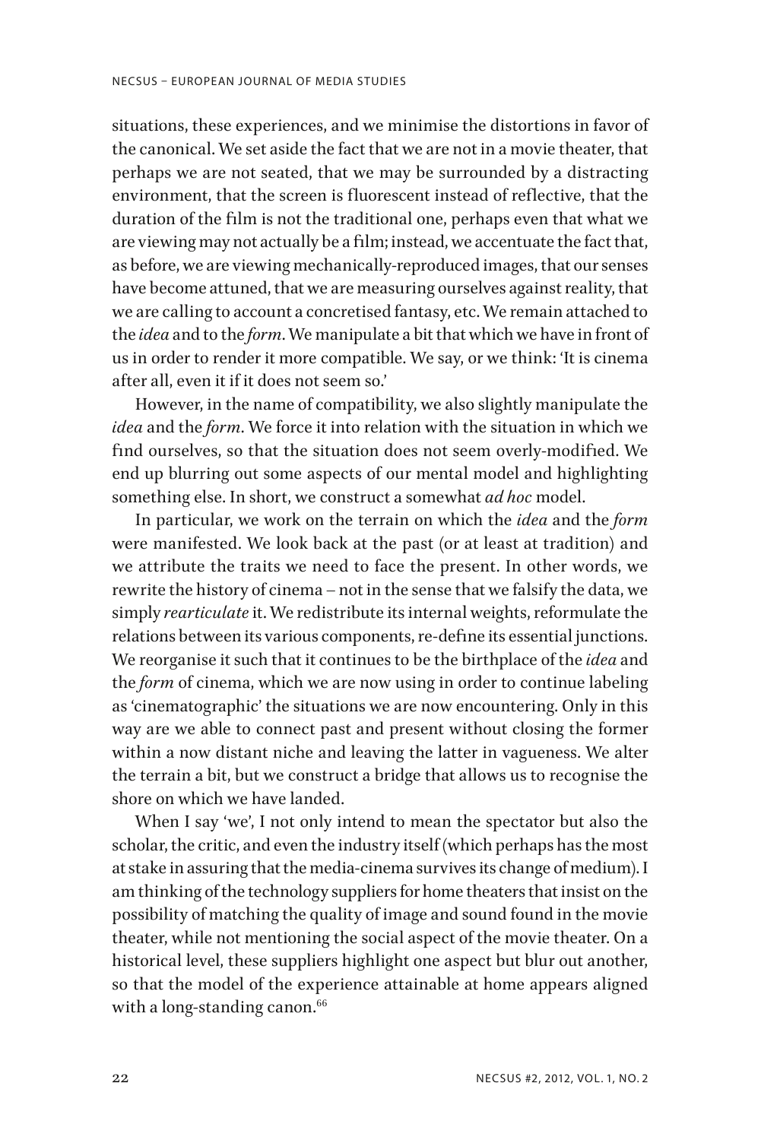situations, these experiences, and we minimise the distortions in favor of the canonical. We set aside the fact that we are not in a movie theater, that perhaps we are not seated, that we may be surrounded by a distracting environment, that the screen is fluorescent instead of reflective, that the duration of the film is not the traditional one, perhaps even that what we are viewing may not actually be a film; instead, we accentuate the fact that, as before, we are viewing mechanically-reproduced images, that our senses have become attuned, that we are measuring ourselves against reality, that we are calling to account a concretised fantasy, etc. We remain attached to the *idea* and to the *form*. We manipulate a bit that which we have in front of us in order to render it more compatible. We say, or we think: 'It is cinema after all, even it if it does not seem so.'

However, in the name of compatibility, we also slightly manipulate the *idea* and the *form*. We force it into relation with the situation in which we find ourselves, so that the situation does not seem overly-modified. We end up blurring out some aspects of our mental model and highlighting something else. In short, we construct a somewhat *ad hoc* model.

In particular, we work on the terrain on which the *idea* and the *form* were manifested. We look back at the past (or at least at tradition) and we attribute the traits we need to face the present. In other words, we rewrite the history of cinema – not in the sense that we falsify the data, we simply *rearticulate* it. We redistribute its internal weights, reformulate the relations between its various components, re-define its essential junctions. We reorganise it such that it continues to be the birthplace of the *idea* and the *form* of cinema, which we are now using in order to continue labeling as 'cinematographic' the situations we are now encountering. Only in this way are we able to connect past and present without closing the former within a now distant niche and leaving the latter in vagueness. We alter the terrain a bit, but we construct a bridge that allows us to recognise the shore on which we have landed.

When I say 'we', I not only intend to mean the spectator but also the scholar, the critic, and even the industry itself (which perhaps has the most at stake in assuring that the media-cinema survives its change of medium). I am thinking of the technology suppliers for home theaters that insist on the possibility of matching the quality of image and sound found in the movie theater, while not mentioning the social aspect of the movie theater. On a historical level, these suppliers highlight one aspect but blur out another, so that the model of the experience attainable at home appears aligned with a long-standing canon.<sup>66</sup>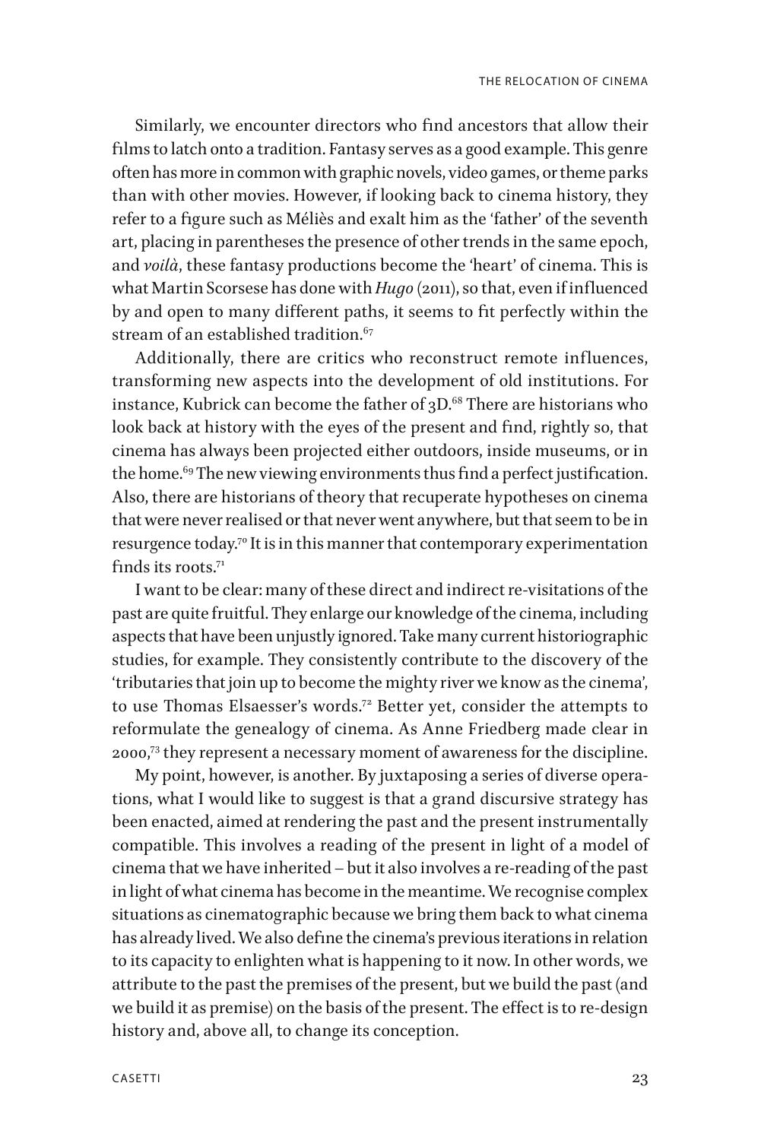Similarly, we encounter directors who find ancestors that allow their films to latch onto a tradition. Fantasy serves as a good example. This genre often has more in common with graphic novels, video games, or theme parks than with other movies. However, if looking back to cinema history, they refer to a figure such as Méliès and exalt him as the 'father' of the seventh art, placing in parentheses the presence of other trends in the same epoch, and *voilà*, these fantasy productions become the 'heart' of cinema. This is what Martin Scorsese has done with *Hugo* (2011), so that, even if influenced by and open to many different paths, it seems to fit perfectly within the stream of an established tradition.<sup>67</sup>

Additionally, there are critics who reconstruct remote influences, transforming new aspects into the development of old institutions. For instance, Kubrick can become the father of  $3D<sup>68</sup>$  There are historians who look back at history with the eyes of the present and find, rightly so, that cinema has always been projected either outdoors, inside museums, or in the home.<sup>69</sup> The new viewing environments thus find a perfect justification. Also, there are historians of theory that recuperate hypotheses on cinema that were never realised or that never went anywhere, but that seem to be in resurgence today.<sup>70</sup> It is in this manner that contemporary experimentation finds its roots<sup>71</sup>

I want to be clear: many of these direct and indirect re-visitations of the past are quite fruitful. They enlarge our knowledge of the cinema, including aspects that have been unjustly ignored. Take many current historiographic studies, for example. They consistently contribute to the discovery of the 'tributaries that join up to become the mighty river we know as the cinema', to use Thomas Elsaesser's words.72 Better yet, consider the attempts to reformulate the genealogy of cinema. As Anne Friedberg made clear in 2000,73 they represent a necessary moment of awareness for the discipline.

My point, however, is another. By juxtaposing a series of diverse operations, what I would like to suggest is that a grand discursive strategy has been enacted, aimed at rendering the past and the present instrumentally compatible. This involves a reading of the present in light of a model of cinema that we have inherited – but it also involves a re-reading of the past in light of what cinema has become in the meantime. We recognise complex situations as cinematographic because we bring them back to what cinema has already lived. We also define the cinema's previous iterations in relation to its capacity to enlighten what is happening to it now. In other words, we attribute to the past the premises of the present, but we build the past (and we build it as premise) on the basis of the present. The effect is to re-design history and, above all, to change its conception.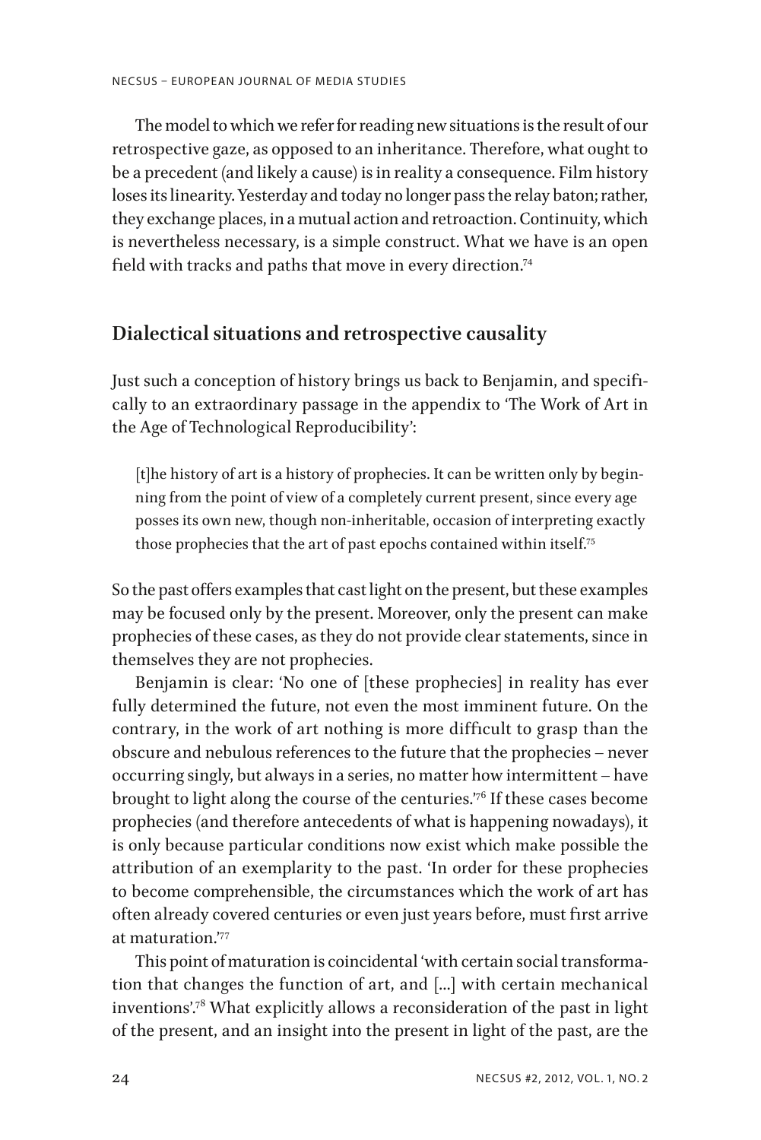The model to which we refer for reading new situations is the result of our retrospective gaze, as opposed to an inheritance. Therefore, what ought to be a precedent (and likely a cause) is in reality a consequence. Film history loses its linearity. Yesterday and today no longer pass the relay baton; rather, they exchange places, in a mutual action and retroaction. Continuity, which is nevertheless necessary, is a simple construct. What we have is an open field with tracks and paths that move in every direction.<sup>74</sup>

## **Dialectical situations and retrospective causality**

Just such a conception of history brings us back to Benjamin, and specifically to an extraordinary passage in the appendix to 'The Work of Art in the Age of Technological Reproducibility':

[t]he history of art is a history of prophecies. It can be written only by beginning from the point of view of a completely current present, since every age posses its own new, though non-inheritable, occasion of interpreting exactly those prophecies that the art of past epochs contained within itself.75

So the past offers examples that cast light on the present, but these examples may be focused only by the present. Moreover, only the present can make prophecies of these cases, as they do not provide clear statements, since in themselves they are not prophecies.

Benjamin is clear: 'No one of [these prophecies] in reality has ever fully determined the future, not even the most imminent future. On the contrary, in the work of art nothing is more difficult to grasp than the obscure and nebulous references to the future that the prophecies – never occurring singly, but always in a series, no matter how intermittent – have brought to light along the course of the centuries.'76 If these cases become prophecies (and therefore antecedents of what is happening nowadays), it is only because particular conditions now exist which make possible the attribution of an exemplarity to the past. 'In order for these prophecies to become comprehensible, the circumstances which the work of art has often already covered centuries or even just years before, must first arrive at maturation.'77

This point of maturation is coincidental 'with certain social transformation that changes the function of art, and [...] with certain mechanical inventions'.78 What explicitly allows a reconsideration of the past in light of the present, and an insight into the present in light of the past, are the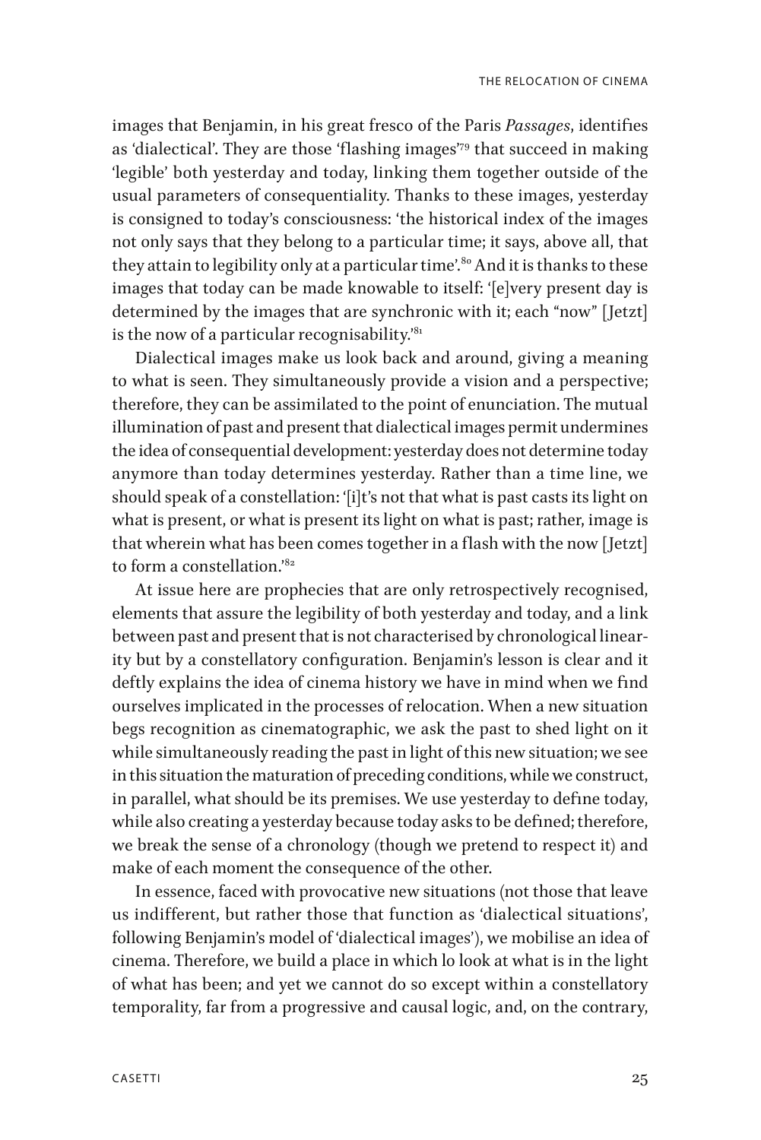images that Benjamin, in his great fresco of the Paris *Passages*, identifies as 'dialectical'. They are those 'flashing images'79 that succeed in making 'legible' both yesterday and today, linking them together outside of the usual parameters of consequentiality. Thanks to these images, yesterday is consigned to today's consciousness: 'the historical index of the images not only says that they belong to a particular time; it says, above all, that they attain to legibility only at a particular time'.<sup>80</sup> And it is thanks to these images that today can be made knowable to itself: '[e]very present day is determined by the images that are synchronic with it; each "now" [Jetzt] is the now of a particular recognisability. $3a_1$ 

Dialectical images make us look back and around, giving a meaning to what is seen. They simultaneously provide a vision and a perspective; therefore, they can be assimilated to the point of enunciation. The mutual illumination of past and present that dialectical images permit undermines the idea of consequential development: yesterday does not determine today anymore than today determines yesterday. Rather than a time line, we should speak of a constellation: '[i]t's not that what is past casts its light on what is present, or what is present its light on what is past; rather, image is that wherein what has been comes together in a flash with the now [Jetzt] to form a constellation.<sup>'82</sup>

At issue here are prophecies that are only retrospectively recognised, elements that assure the legibility of both yesterday and today, and a link between past and present that is not characterised by chronological linearity but by a constellatory configuration. Benjamin's lesson is clear and it deftly explains the idea of cinema history we have in mind when we find ourselves implicated in the processes of relocation. When a new situation begs recognition as cinematographic, we ask the past to shed light on it while simultaneously reading the past in light of this new situation; we see in this situation the maturation of preceding conditions, while we construct, in parallel, what should be its premises. We use yesterday to define today, while also creating a yesterday because today asks to be defined; therefore, we break the sense of a chronology (though we pretend to respect it) and make of each moment the consequence of the other.

In essence, faced with provocative new situations (not those that leave us indifferent, but rather those that function as 'dialectical situations', following Benjamin's model of 'dialectical images'), we mobilise an idea of cinema. Therefore, we build a place in which lo look at what is in the light of what has been; and yet we cannot do so except within a constellatory temporality, far from a progressive and causal logic, and, on the contrary,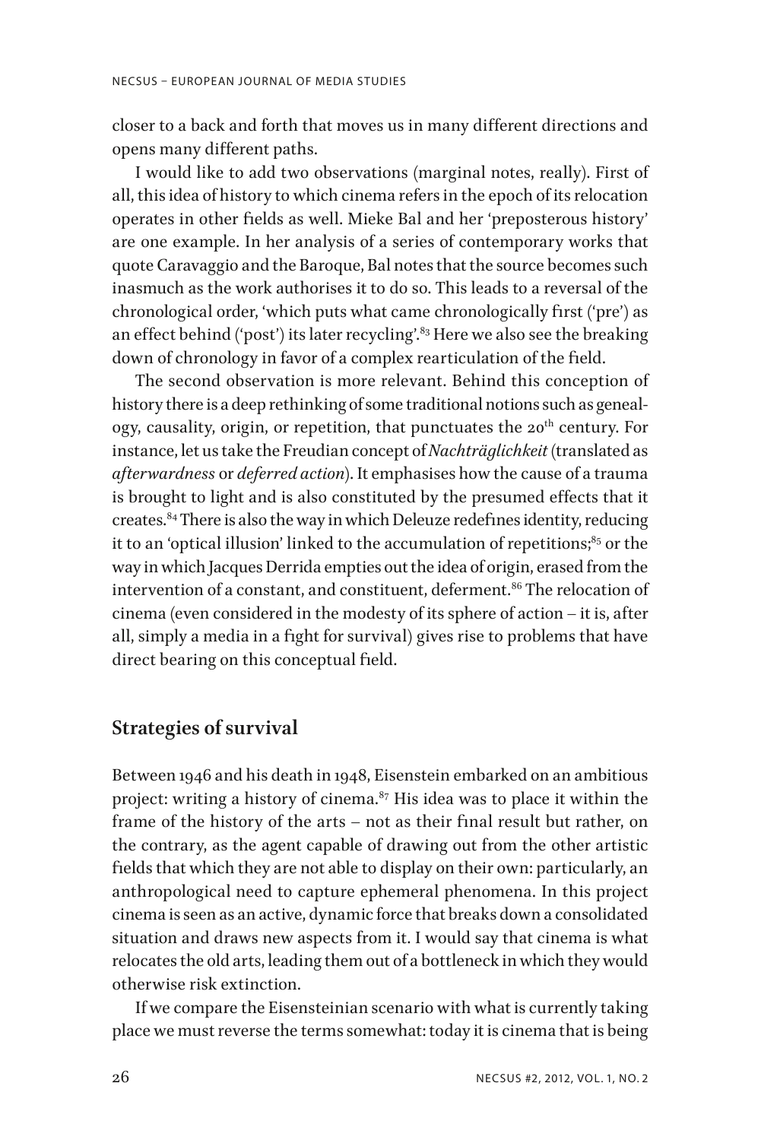closer to a back and forth that moves us in many different directions and opens many different paths.

I would like to add two observations (marginal notes, really). First of all, this idea of history to which cinema refers in the epoch of its relocation operates in other fields as well. Mieke Bal and her 'preposterous history' are one example. In her analysis of a series of contemporary works that quote Caravaggio and the Baroque, Bal notes that the source becomes such inasmuch as the work authorises it to do so. This leads to a reversal of the chronological order, 'which puts what came chronologically first ('pre') as an effect behind ('post') its later recycling'.<sup>83</sup> Here we also see the breaking down of chronology in favor of a complex rearticulation of the field.

The second observation is more relevant. Behind this conception of history there is a deep rethinking of some traditional notions such as genealogy, causality, origin, or repetition, that punctuates the 20<sup>th</sup> century. For instance, let us take the Freudian concept of *Nachträglichkeit* (translated as *afterwardness* or *deferred action*). It emphasises how the cause of a trauma is brought to light and is also constituted by the presumed effects that it creates.84 There is also the way in which Deleuze redefines identity, reducing it to an 'optical illusion' linked to the accumulation of repetitions; $85$  or the way in which Jacques Derrida empties out the idea of origin, erased from the intervention of a constant, and constituent, deferment.<sup>86</sup> The relocation of cinema (even considered in the modesty of its sphere of action – it is, after all, simply a media in a fight for survival) gives rise to problems that have direct bearing on this conceptual field.

### **Strategies of survival**

Between 1946 and his death in 1948, Eisenstein embarked on an ambitious project: writing a history of cinema. $87$  His idea was to place it within the frame of the history of the arts – not as their final result but rather, on the contrary, as the agent capable of drawing out from the other artistic fields that which they are not able to display on their own: particularly, an anthropological need to capture ephemeral phenomena. In this project cinema is seen as an active, dynamic force that breaks down a consolidated situation and draws new aspects from it. I would say that cinema is what relocates the old arts, leading them out of a bottleneck in which they would otherwise risk extinction.

If we compare the Eisensteinian scenario with what is currently taking place we must reverse the terms somewhat: today it is cinema that is being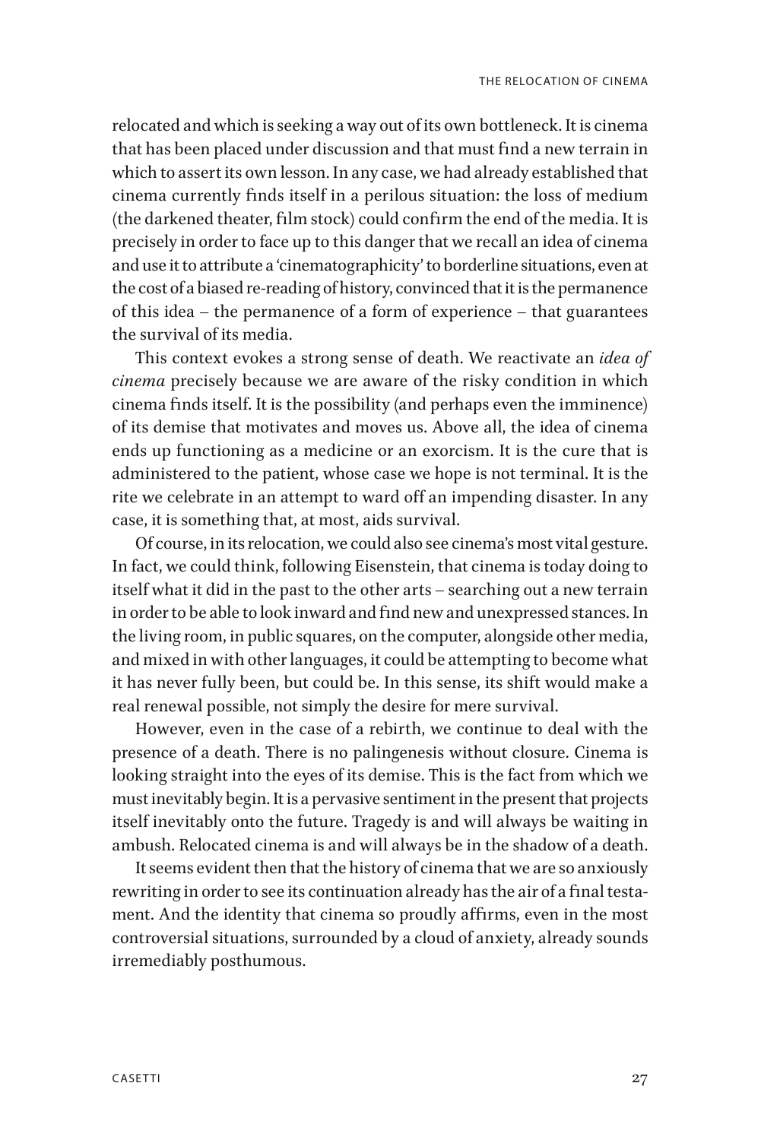relocated and which is seeking a way out of its own bottleneck. It is cinema that has been placed under discussion and that must find a new terrain in which to assert its own lesson. In any case, we had already established that cinema currently finds itself in a perilous situation: the loss of medium (the darkened theater, film stock) could confirm the end of the media. It is precisely in order to face up to this danger that we recall an idea of cinema and use it to attribute a 'cinematographicity' to borderline situations, even at the cost of a biased re-reading of history, convinced that it is the permanence of this idea – the permanence of a form of experience – that guarantees the survival of its media.

This context evokes a strong sense of death. We reactivate an *idea of cinema* precisely because we are aware of the risky condition in which cinema finds itself. It is the possibility (and perhaps even the imminence) of its demise that motivates and moves us. Above all, the idea of cinema ends up functioning as a medicine or an exorcism. It is the cure that is administered to the patient, whose case we hope is not terminal. It is the rite we celebrate in an attempt to ward off an impending disaster. In any case, it is something that, at most, aids survival.

Of course, in its relocation, we could also see cinema's most vital gesture. In fact, we could think, following Eisenstein, that cinema is today doing to itself what it did in the past to the other arts – searching out a new terrain in order to be able to look inward and find new and unexpressed stances. In the living room, in public squares, on the computer, alongside other media, and mixed in with other languages, it could be attempting to become what it has never fully been, but could be. In this sense, its shift would make a real renewal possible, not simply the desire for mere survival.

However, even in the case of a rebirth, we continue to deal with the presence of a death. There is no palingenesis without closure. Cinema is looking straight into the eyes of its demise. This is the fact from which we must inevitably begin. It is a pervasive sentiment in the present that projects itself inevitably onto the future. Tragedy is and will always be waiting in ambush. Relocated cinema is and will always be in the shadow of a death.

It seems evident then that the history of cinema that we are so anxiously rewriting in order to see its continuation already has the air of a final testament. And the identity that cinema so proudly affirms, even in the most controversial situations, surrounded by a cloud of anxiety, already sounds irremediably posthumous.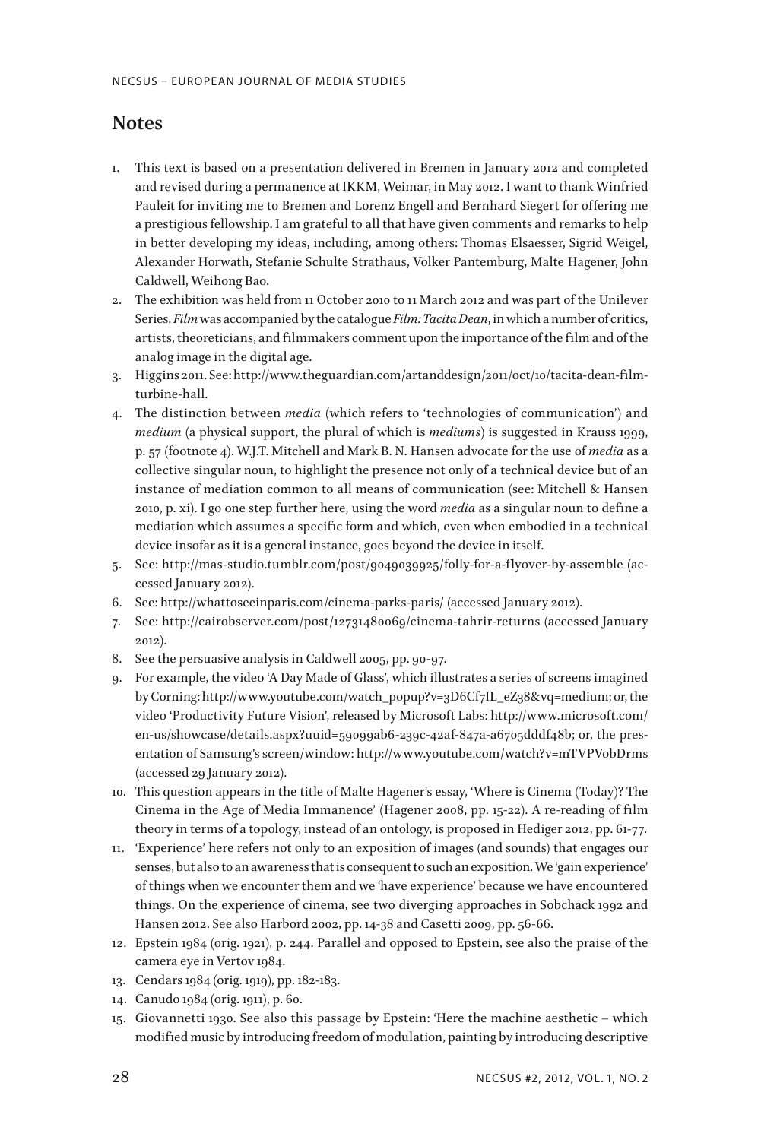## **Notes**

- 1. This text is based on a presentation delivered in Bremen in January 2012 and completed and revised during a permanence at IKKM, Weimar, in May 2012. I want to thank Winfried Pauleit for inviting me to Bremen and Lorenz Engell and Bernhard Siegert for offering me a prestigious fellowship. I am grateful to all that have given comments and remarks to help in better developing my ideas, including, among others: Thomas Elsaesser, Sigrid Weigel, Alexander Horwath, Stefanie Schulte Strathaus, Volker Pantemburg, Malte Hagener, John Caldwell, Weihong Bao.
- 2. The exhibition was held from 11 October 2010 to 11 March 2012 and was part of the Unilever Series. *Film* was accompanied by the catalogue *Film: Tacita Dean*, in which a number of critics, artists, theoreticians, and filmmakers comment upon the importance of the film and of the analog image in the digital age.
- 3. Higgins 2011. See: http://www.theguardian.com/artanddesign/2011/oct/10/tacita-dean-filmturbine-hall.
- 4. The distinction between *media* (which refers to 'technologies of communication') and *medium* (a physical support, the plural of which is *mediums*) is suggested in Krauss 1999, p. 57 (footnote 4). W.J.T. Mitchell and Mark B. N. Hansen advocate for the use of *media* as a collective singular noun, to highlight the presence not only of a technical device but of an instance of mediation common to all means of communication (see: Mitchell & Hansen 2010, p. xi). I go one step further here, using the word *media* as a singular noun to define a mediation which assumes a specific form and which, even when embodied in a technical device insofar as it is a general instance, goes beyond the device in itself.
- 5. See: http://mas-studio.tumblr.com/post/9049039925/folly-for-a-flyover-by-assemble (accessed January 2012).
- 6. See: http://whattoseeinparis.com/cinema-parks-paris/ (accessed January 2012).
- 7. See: http://cairobserver.com/post/12731480069/cinema-tahrir-returns (accessed January 2012).
- 8. See the persuasive analysis in Caldwell 2005, pp. 90-97.
- 9. For example, the video 'A Day Made of Glass', which illustrates a series of screens imagined by Corning: http://www.youtube.com/watch\_popup?v=3D6Cf7IL\_eZ38&vq=medium; or, the video 'Productivity Future Vision', released by Microsoft Labs: http://www.microsoft.com/ en-us/showcase/details.aspx?uuid=59099ab6-239c-42af-847a-a6705dddf48b; or, the presentation of Samsung's screen/window: http://www.youtube.com/watch?v=mTVPVobDrms (accessed 29 January 2012).
- 10. This question appears in the title of Malte Hagener's essay, 'Where is Cinema (Today)? The Cinema in the Age of Media Immanence' (Hagener 2008, pp. 15-22). A re-reading of film theory in terms of a topology, instead of an ontology, is proposed in Hediger 2012, pp. 61-77.
- 11. 'Experience' here refers not only to an exposition of images (and sounds) that engages our senses, but also to an awareness that is consequent to such an exposition. We 'gain experience' of things when we encounter them and we 'have experience' because we have encountered things. On the experience of cinema, see two diverging approaches in Sobchack 1992 and Hansen 2012. See also Harbord 2002, pp. 14-38 and Casetti 2009, pp. 56-66.
- 12. Epstein 1984 (orig. 1921), p. 244. Parallel and opposed to Epstein, see also the praise of the camera eye in Vertov 1984.
- 13. Cendars 1984 (orig. 1919), pp. 182-183.
- 14. Canudo 1984 (orig. 1911), p. 60.
- 15. Giovannetti 1930. See also this passage by Epstein: 'Here the machine aesthetic which modified music by introducing freedom of modulation, painting by introducing descriptive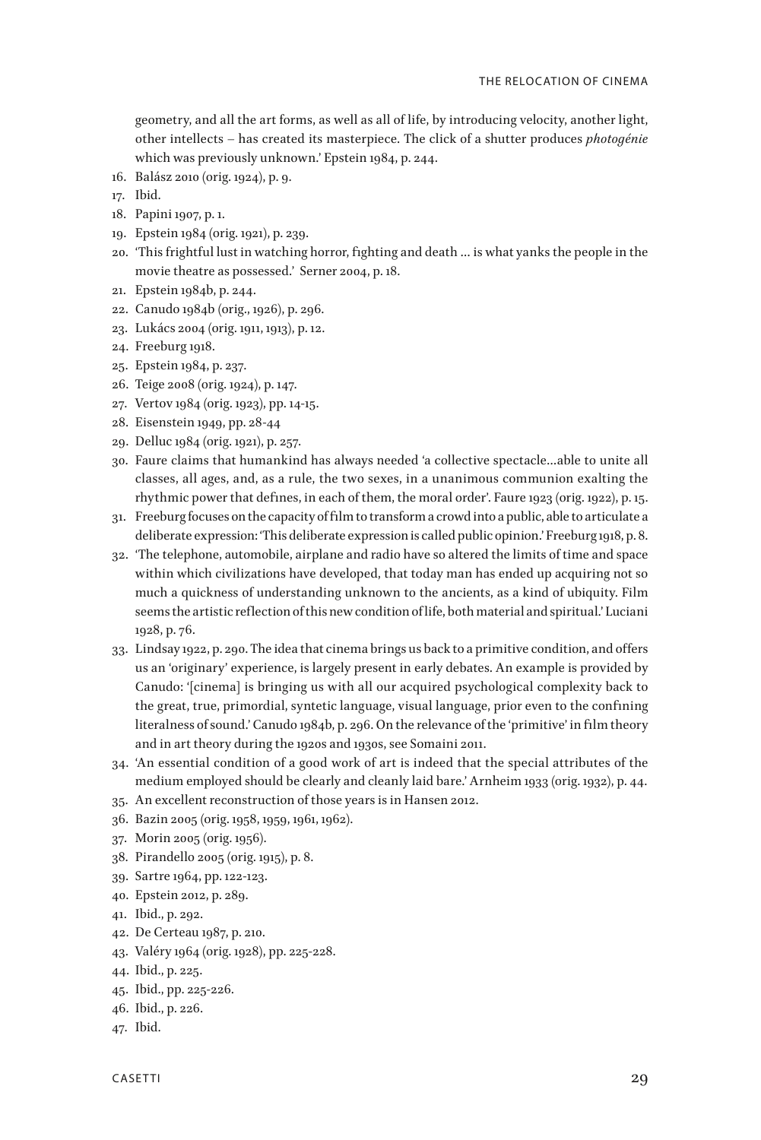geometry, and all the art forms, as well as all of life, by introducing velocity, another light, other intellects – has created its masterpiece. The click of a shutter produces *photogénie* which was previously unknown.' Epstein 1984, p. 244.

- 16. Balász 2010 (orig. 1924), p. 9.
- 17. Ibid.
- 18. Papini 1907, p. 1.
- 19. Epstein 1984 (orig. 1921), p. 239.
- 20. 'This frightful lust in watching horror, fighting and death … is what yanks the people in the movie theatre as possessed.' Serner 2004, p. 18.
- 21. Epstein 1984b, p. 244.
- 22. Canudo 1984b (orig., 1926), p. 296.
- 23. Lukács 2004 (orig. 1911, 1913), p. 12.
- 24. Freeburg 1918.
- 25. Epstein 1984, p. 237.
- 26. Teige 2008 (orig. 1924), p. 147.
- 27. Vertov 1984 (orig. 1923), pp. 14-15.
- 28. Eisenstein 1949, pp. 28-44
- 29. Delluc 1984 (orig. 1921), p. 257.
- 30. Faure claims that humankind has always needed 'a collective spectacle…able to unite all classes, all ages, and, as a rule, the two sexes, in a unanimous communion exalting the rhythmic power that defines, in each of them, the moral order'. Faure 1923 (orig. 1922), p. 15.
- 31. Freeburg focuses on the capacity of film to transform a crowd into a public, able to articulate a deliberate expression: 'This deliberate expression is called public opinion.' Freeburg 1918, p. 8.
- 32. 'The telephone, automobile, airplane and radio have so altered the limits of time and space within which civilizations have developed, that today man has ended up acquiring not so much a quickness of understanding unknown to the ancients, as a kind of ubiquity. Film seems the artistic reflection of this new condition of life, both material and spiritual.' Luciani 1928, p. 76.
- 33. Lindsay 1922, p. 290. The idea that cinema brings us back to a primitive condition, and offers us an 'originary' experience, is largely present in early debates. An example is provided by Canudo: '[cinema] is bringing us with all our acquired psychological complexity back to the great, true, primordial, syntetic language, visual language, prior even to the confining literalness of sound.' Canudo 1984b, p. 296. On the relevance of the 'primitive' in film theory and in art theory during the 1920s and 1930s, see Somaini 2011.
- 34. 'An essential condition of a good work of art is indeed that the special attributes of the medium employed should be clearly and cleanly laid bare.' Arnheim 1933 (orig. 1932), p. 44.
- 35. An excellent reconstruction of those years is in Hansen 2012.
- 36. Bazin 2005 (orig. 1958, 1959, 1961, 1962).
- 37. Morin 2005 (orig. 1956).
- 38. Pirandello 2005 (orig. 1915), p. 8.
- 39. Sartre 1964, pp. 122-123.
- 40. Epstein 2012, p. 289.
- 41. Ibid., p. 292.
- 42. De Certeau 1987, p. 210.
- 43. Valéry 1964 (orig. 1928), pp. 225-228.
- 44. Ibid., p. 225.
- 45. Ibid., pp. 225-226.
- 46. Ibid., p. 226.
- 47. Ibid.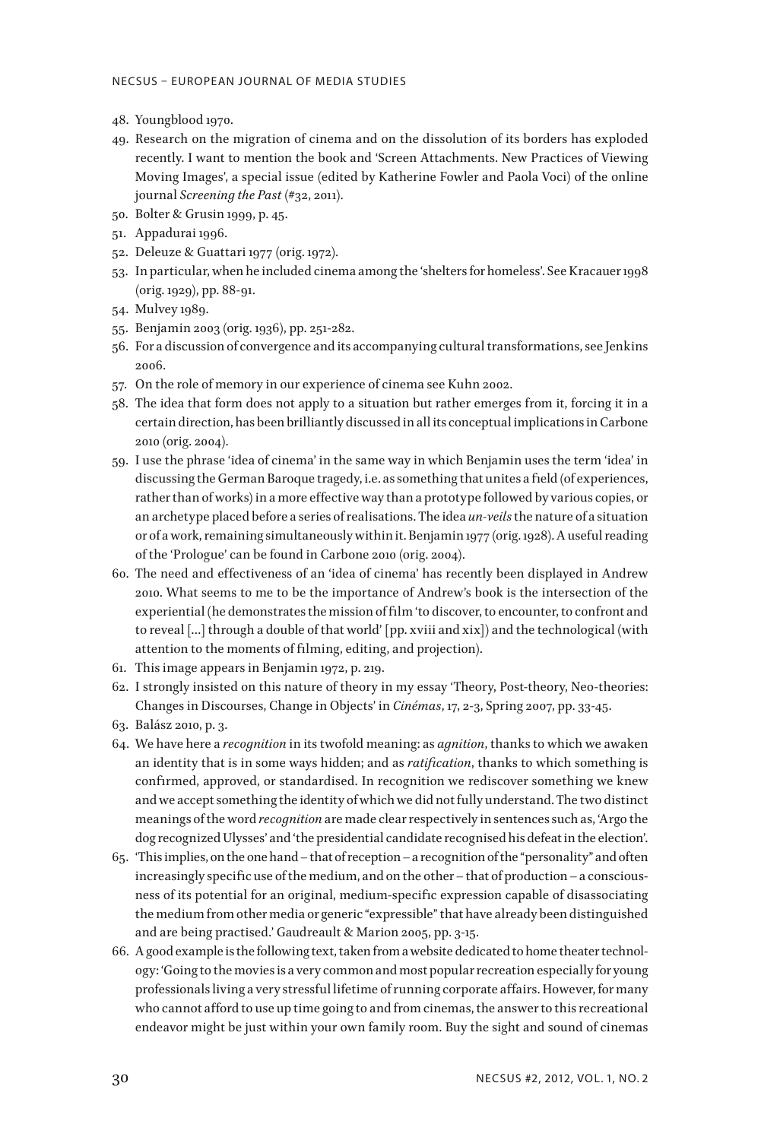- 48. Youngblood 1970.
- 49. Research on the migration of cinema and on the dissolution of its borders has exploded recently. I want to mention the book and 'Screen Attachments. New Practices of Viewing Moving Images', a special issue (edited by Katherine Fowler and Paola Voci) of the online journal *Screening the Past* (#32, 2011).
- 50. Bolter & Grusin 1999, p. 45.
- 51. Appadurai 1996.
- 52. Deleuze & Guattari 1977 (orig. 1972).
- 53. In particular, when he included cinema among the 'shelters for homeless'. See Kracauer 1998 (orig. 1929), pp. 88-91.
- 54. Mulvey 1989.
- 55. Benjamin 2003 (orig. 1936), pp. 251-282.
- 56. For a discussion of convergence and its accompanying cultural transformations, see Jenkins 2006.
- 57. On the role of memory in our experience of cinema see Kuhn 2002.
- 58. The idea that form does not apply to a situation but rather emerges from it, forcing it in a certain direction, has been brilliantly discussed in all its conceptual implications in Carbone 2010 (orig. 2004).
- 59. I use the phrase 'idea of cinema' in the same way in which Benjamin uses the term 'idea' in discussing the German Baroque tragedy, i.e. as something that unites a field (of experiences, rather than of works) in a more effective way than a prototype followed by various copies, or an archetype placed before a series of realisations. The idea *un-veils* the nature of a situation or of a work, remaining simultaneously within it. Benjamin 1977 (orig. 1928). A useful reading of the 'Prologue' can be found in Carbone 2010 (orig. 2004).
- 60. The need and effectiveness of an 'idea of cinema' has recently been displayed in Andrew 2010. What seems to me to be the importance of Andrew's book is the intersection of the experiential (he demonstrates the mission of film 'to discover, to encounter, to confront and to reveal […] through a double of that world' [pp. xviii and xix]) and the technological (with attention to the moments of filming, editing, and projection).
- 61. This image appears in Benjamin 1972, p. 219.
- 62. I strongly insisted on this nature of theory in my essay 'Theory, Post-theory, Neo-theories: Changes in Discourses, Change in Objects' in *Cinémas*, 17, 2-3, Spring 2007, pp. 33-45.
- 63. Balász 2010, p. 3.
- 64. We have here a *recognition* in its twofold meaning: as *agnition*, thanks to which we awaken an identity that is in some ways hidden; and as *ratification*, thanks to which something is confirmed, approved, or standardised. In recognition we rediscover something we knew and we accept something the identity of which we did not fully understand. The two distinct meanings of the word *recognition* are made clear respectively in sentences such as, 'Argo the dog recognized Ulysses' and 'the presidential candidate recognised his defeat in the election'.
- 65. 'This implies, on the one hand that of reception a recognition of the "personality" and often increasingly specific use of the medium, and on the other – that of production – a consciousness of its potential for an original, medium-specific expression capable of disassociating the medium from other media or generic "expressible" that have already been distinguished and are being practised.' Gaudreault & Marion 2005, pp. 3-15.
- 66. A good example is the following text, taken from a website dedicated to home theater technology: 'Going to the movies is a very common and most popular recreation especially for young professionals living a very stressful lifetime of running corporate affairs. However, for many who cannot afford to use up time going to and from cinemas, the answer to this recreational endeavor might be just within your own family room. Buy the sight and sound of cinemas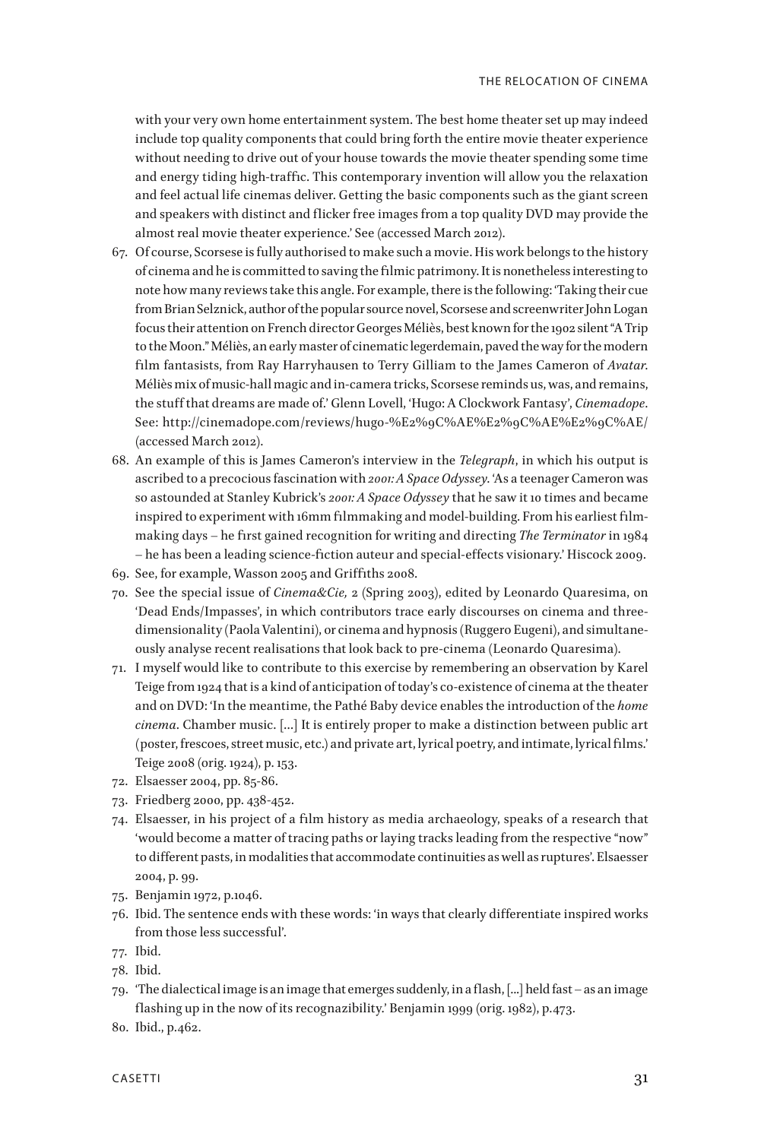with your very own home entertainment system. The best home theater set up may indeed include top quality components that could bring forth the entire movie theater experience without needing to drive out of your house towards the movie theater spending some time and energy tiding high-traffic. This contemporary invention will allow you the relaxation and feel actual life cinemas deliver. Getting the basic components such as the giant screen and speakers with distinct and flicker free images from a top quality DVD may provide the almost real movie theater experience.' See (accessed March 2012).

- 67. Of course, Scorsese is fully authorised to make such a movie. His work belongs to the history of cinema and he is committed to saving the filmic patrimony. It is nonetheless interesting to note how many reviews take this angle. For example, there is the following: 'Taking their cue from Brian Selznick, author of the popular source novel, Scorsese and screenwriter John Logan focus their attention on French director Georges Méliès, best known for the 1902 silent "A Trip to the Moon." Méliès, an early master of cinematic legerdemain, paved the way for the modern film fantasists, from Ray Harryhausen to Terry Gilliam to the James Cameron of *Avatar*. Méliès mix of music-hall magic and in-camera tricks, Scorsese reminds us, was, and remains, the stuff that dreams are made of.' Glenn Lovell, 'Hugo: A Clockwork Fantasy', *Cinemadope*. See: http://cinemadope.com/reviews/hugo-%E2%9C%AE%E2%9C%AE%E2%9C%AE/ (accessed March 2012).
- 68. An example of this is James Cameron's interview in the *Telegraph*, in which his output is ascribed to a precocious fascination with *2001: A Space Odyssey*. 'As a teenager Cameron was so astounded at Stanley Kubrick's *2001: A Space Odyssey* that he saw it 10 times and became inspired to experiment with 16mm filmmaking and model-building. From his earliest filmmaking days – he first gained recognition for writing and directing *The Terminator* in 1984 – he has been a leading science-fiction auteur and special-effects visionary.' Hiscock 2009.
- 69. See, for example, Wasson 2005 and Griffiths 2008.
- 70. See the special issue of *Cinema&Cie,* 2 (Spring 2003), edited by Leonardo Quaresima, on 'Dead Ends/Impasses', in which contributors trace early discourses on cinema and threedimensionality (Paola Valentini), or cinema and hypnosis (Ruggero Eugeni), and simultaneously analyse recent realisations that look back to pre-cinema (Leonardo Quaresima).
- 71. I myself would like to contribute to this exercise by remembering an observation by Karel Teige from 1924 that is a kind of anticipation of today's co-existence of cinema at the theater and on DVD: 'In the meantime, the Pathé Baby device enables the introduction of the *home cinema*. Chamber music. […] It is entirely proper to make a distinction between public art (poster, frescoes, street music, etc.) and private art, lyrical poetry, and intimate, lyrical films.' Teige 2008 (orig. 1924), p. 153.
- 72. Elsaesser 2004, pp. 85-86.
- 73. Friedberg 2000, pp. 438-452.
- 74. Elsaesser, in his project of a film history as media archaeology, speaks of a research that 'would become a matter of tracing paths or laying tracks leading from the respective "now" to different pasts, in modalities that accommodate continuities as well as ruptures'. Elsaesser 2004, p. 99.
- 75. Benjamin 1972, p.1046.
- 76. Ibid. The sentence ends with these words: 'in ways that clearly differentiate inspired works from those less successful'.
- 77. Ibid.
- 78. Ibid.
- 79. 'The dialectical image is an image that emerges suddenly, in a flash, [...] held fast as an image flashing up in the now of its recognazibility.' Benjamin 1999 (orig. 1982), p.473.
- 80. Ibid., p.462.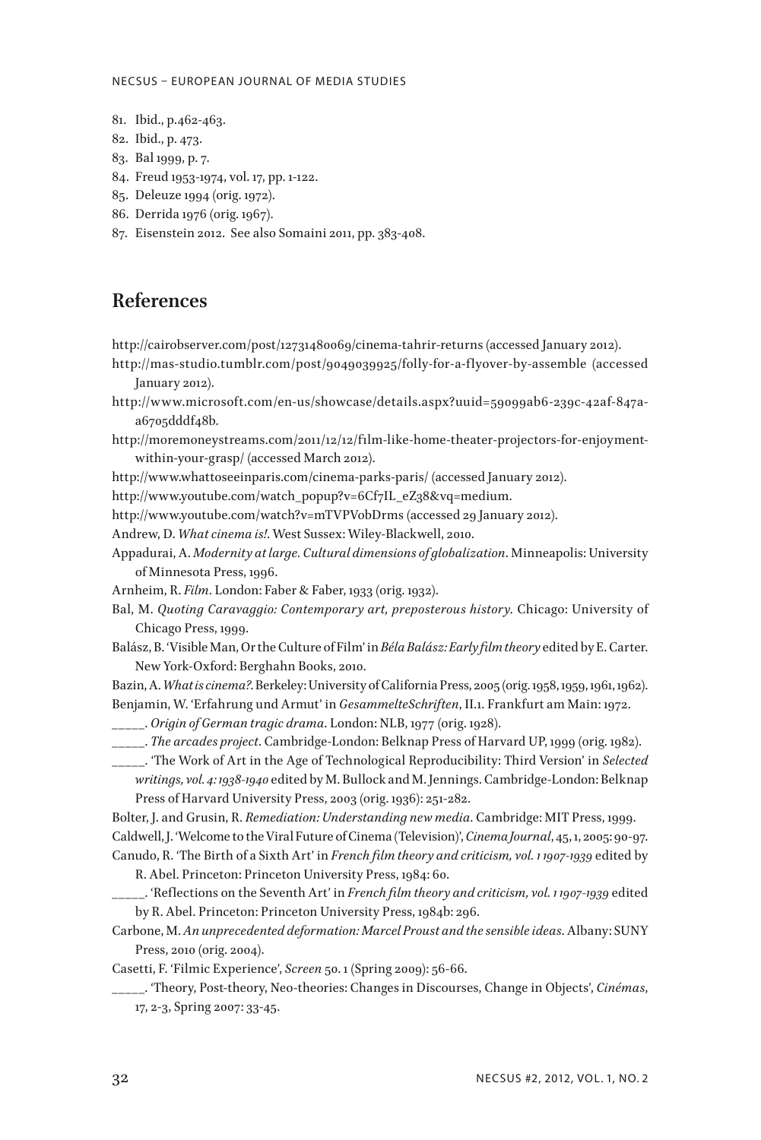#### NECSUS – EUROPEAN JOURNAL OF MEDIA STUDIES

- 81. Ibid., p.462-463.
- 82. Ibid., p. 473.
- 83. Bal 1999, p. 7.
- 84. Freud 1953-1974, vol. 17, pp. 1-122.
- 85. Deleuze 1994 (orig. 1972).
- 86. Derrida 1976 (orig. 1967).
- 87. Eisenstein 2012. See also Somaini 2011, pp. 383-408.

### **References**

- http://cairobserver.com/post/12731480069/cinema-tahrir-returns (accessed January 2012).
- http://mas-studio.tumblr.com/post/9049039925/folly-for-a-f lyover-by-assemble (accessed January 2012).
- http://www.microsoft.com/en-us/showcase/details.aspx?uuid=59099ab6-239c-42af-847aa6705dddf48b.
- http://moremoneystreams.com/2011/12/12/film-like-home-theater-projectors-for-enjoymentwithin-your-grasp/ (accessed March 2012).

http://www.whattoseeinparis.com/cinema-parks-paris/ (accessed January 2012).

http://www.youtube.com/watch\_popup?v=6Cf7IL\_eZ38&vq=medium.

http://www.youtube.com/watch?v=mTVPVobDrms (accessed 29 January 2012).

Andrew, D. *What cinema is!*. West Sussex: Wiley-Blackwell, 2010.

- Appadurai, A. *Modernity at large. Cultural dimensions of globalization*. Minneapolis: University of Minnesota Press, 1996.
- Arnheim, R. *Film*. London: Faber & Faber, 1933 (orig. 1932).
- Bal, M. *Quoting Caravaggio: Contemporary art, preposterous history*. Chicago: University of Chicago Press, 1999.
- Balász, B. 'Visible Man, Or the Culture of Film' in *Béla Balász: Early film theory* edited by E. Carter. New York-Oxford: Berghahn Books, 2010.
- Bazin, A. *What is cinema?*. Berkeley: University of California Press, 2005 (orig. 1958, 1959, 1961, 1962). Benjamin, W. 'Erfahrung und Armut' in *GesammelteSchriften*, II.1. Frankfurt am Main: 1972.

\_\_\_\_\_. *Origin of German tragic drama*. London: NLB, 1977 (orig. 1928).

- \_\_\_\_\_. *The arcades project*. Cambridge-London: Belknap Press of Harvard UP, 1999 (orig. 1982).
- \_\_\_\_\_. 'The Work of Art in the Age of Technological Reproducibility: Third Version' in *Selected writings, vol. 4: 1938-1940* edited by M. Bullock and M. Jennings. Cambridge-London: Belknap Press of Harvard University Press, 2003 (orig. 1936): 251-282.

Bolter, J. and Grusin, R. *Remediation: Understanding new media*. Cambridge: MIT Press, 1999. Caldwell, J. 'Welcome to the Viral Future of Cinema (Television)', *Cinema Journal*, 45, 1, 2005: 90-97. Canudo, R. 'The Birth of a Sixth Art' in *French film theory and criticism, vol. 1 1907-1939* edited by

R. Abel. Princeton: Princeton University Press, 1984: 60.

- \_\_\_\_\_. 'Reflections on the Seventh Art' in *French film theory and criticism, vol. 1 1907-1939* edited by R. Abel. Princeton: Princeton University Press, 1984b: 296.
- Carbone, M. *An unprecedented deformation: Marcel Proust and the sensible ideas*. Albany: SUNY Press, 2010 (orig. 2004).

Casetti, F. 'Filmic Experience', *Screen* 50. 1 (Spring 2009): 56-66.

\_\_\_\_\_. 'Theory, Post-theory, Neo-theories: Changes in Discourses, Change in Objects', *Cinémas*, 17, 2-3, Spring 2007: 33-45.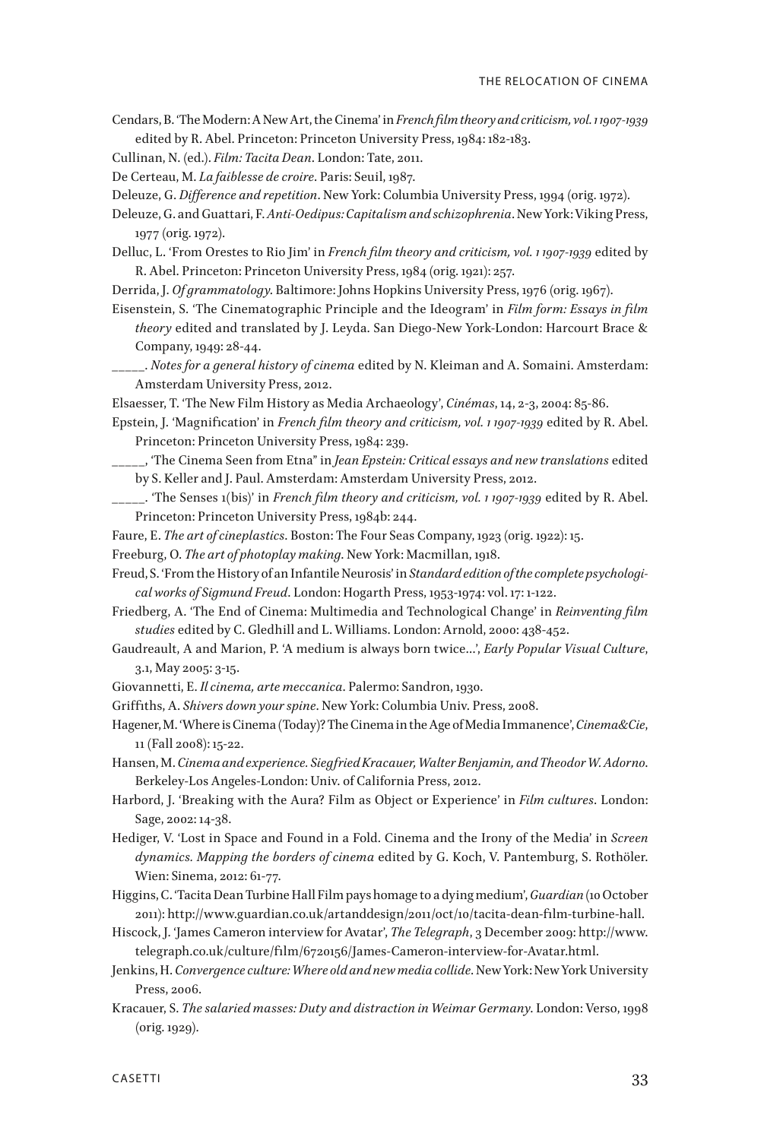- Cendars, B. 'The Modern: A New Art, the Cinema' in *French film theory and criticism, vol. 1 1907-1939* edited by R. Abel. Princeton: Princeton University Press, 1984: 182-183.
- Cullinan, N. (ed.). *Film: Tacita Dean*. London: Tate, 2011.
- De Certeau, M. *La faiblesse de croire*. Paris: Seuil, 1987.
- Deleuze, G. *Difference and repetition*. New York: Columbia University Press, 1994 (orig. 1972).
- Deleuze, G. and Guattari, F. *Anti-Oedipus: Capitalism and schizophrenia*. New York: Viking Press, 1977 (orig. 1972).
- Delluc, L. 'From Orestes to Rio Jim' in *French film theory and criticism, vol. 1 1907-1939* edited by R. Abel. Princeton: Princeton University Press, 1984 (orig. 1921): 257.
- Derrida, J. *Of grammatology*. Baltimore: Johns Hopkins University Press, 1976 (orig. 1967).
- Eisenstein, S. 'The Cinematographic Principle and the Ideogram' in *Film form: Essays in film theory* edited and translated by J. Leyda. San Diego-New York-London: Harcourt Brace & Company, 1949: 28-44.
- \_\_\_\_\_. *Notes for a general history of cinema* edited by N. Kleiman and A. Somaini. Amsterdam: Amsterdam University Press, 2012.
- Elsaesser, T. 'The New Film History as Media Archaeology', *Cinémas*, 14, 2-3, 2004: 85-86.
- Epstein, J. 'Magnification' in *French film theory and criticism, vol. 1 1907-1939* edited by R. Abel. Princeton: Princeton University Press, 1984: 239.
- \_\_\_\_\_, 'The Cinema Seen from Etna" in *Jean Epstein: Critical essays and new translations* edited by S. Keller and J. Paul. Amsterdam: Amsterdam University Press, 2012.
- \_\_\_\_\_. 'The Senses 1(bis)' in *French film theory and criticism, vol. 1 1907-1939* edited by R. Abel. Princeton: Princeton University Press, 1984b: 244.
- Faure, E. *The art of cineplastics*. Boston: The Four Seas Company, 1923 (orig. 1922): 15.
- Freeburg, O. *The art of photoplay making*. New York: Macmillan, 1918.
- Freud, S. 'From the History of an Infantile Neurosis' in *Standard edition of the complete psychological works of Sigmund Freud*. London: Hogarth Press, 1953-1974: vol. 17: 1-122.
- Friedberg, A. 'The End of Cinema: Multimedia and Technological Change' in *Reinventing film studies* edited by C. Gledhill and L. Williams. London: Arnold, 2000: 438-452.
- Gaudreault, A and Marion, P. 'A medium is always born twice…', *Early Popular Visual Culture*, 3.1, May 2005: 3-15.
- Giovannetti, E. *Il cinema, arte meccanica*. Palermo: Sandron, 1930.
- Griffiths, A. *Shivers down your spine*. New York: Columbia Univ. Press, 2008.
- Hagener, M. 'Where is Cinema (Today)? The Cinema in the Age of Media Immanence', *Cinema&Cie*, 11 (Fall 2008): 15-22.
- Hansen, M. *Cinema and experience. Siegfried Kracauer, Walter Benjamin, and Theodor W. Adorno*. Berkeley-Los Angeles-London: Univ. of California Press, 2012.
- Harbord, J. 'Breaking with the Aura? Film as Object or Experience' in *Film cultures*. London: Sage, 2002: 14-38.
- Hediger, V. 'Lost in Space and Found in a Fold. Cinema and the Irony of the Media' in *Screen dynamics. Mapping the borders of cinema* edited by G. Koch, V. Pantemburg, S. Rothöler. Wien: Sinema, 2012: 61-77.
- Higgins, C. 'Tacita Dean Turbine Hall Film pays homage to a dying medium', *Guardian* (10 October 2011): http://www.guardian.co.uk/artanddesign/2011/oct/10/tacita-dean-film-turbine-hall.
- Hiscock, J. 'James Cameron interview for Avatar', *The Telegraph*, 3 December 2009: http://www. telegraph.co.uk/culture/film/6720156/James-Cameron-interview-for-Avatar.html.
- Jenkins, H. *Convergence culture: Where old and new media collide*. New York: New York University Press, 2006.
- Kracauer, S. *The salaried masses: Duty and distraction in Weimar Germany*. London: Verso, 1998 (orig. 1929).